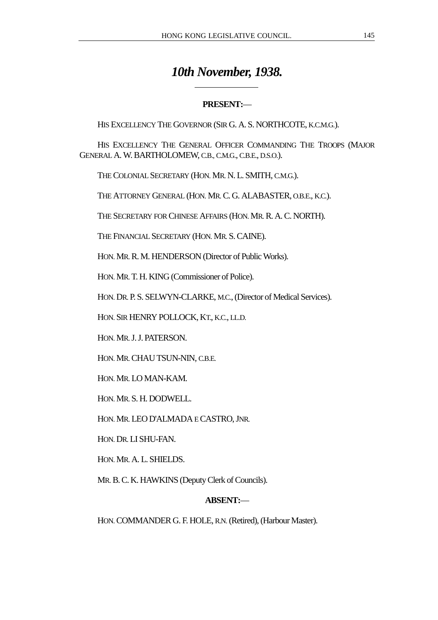# *10th November, 1938.*

# **PRESENT:**—

HIS EXCELLENCY THE GOVERNOR (SIR G. A. S. NORTHCOTE, K.C.M.G.).

HIS EXCELLENCY THE GENERAL OFFICER COMMANDING THE TROOPS (MAJOR GENERAL A. W. BARTHOLOMEW, C.B., C.M.G., C.B.E., D.S.O.).

THE COLONIAL SECRETARY (HON. MR. N. L. SMITH, C.M.G.).

 $\overline{a}$ 

THE ATTORNEY GENERAL (HON. MR. C. G. ALABASTER, O.B.E., K.C.).

THE SECRETARY FOR CHINESE AFFAIRS (HON. MR. R. A. C. NORTH).

THE FINANCIAL SECRETARY (HON. MR. S. CAINE).

HON. MR. R. M. HENDERSON (Director of Public Works).

HON. MR. T. H. KING (Commissioner of Police).

HON. DR. P. S. SELWYN-CLARKE, M.C., (Director of Medical Services).

HON. SIR HENRY POLLOCK, KT., K.C., LL.D.

HON. MR. J. J. PATERSON.

HON. MR. CHAU TSUN-NIN, C.B.E.

HON. MR. LO MAN-KAM.

HON. MR. S. H. DODWELL.

HON. MR. LEO D'ALMADA E CASTRO, JNR.

HON. DR. LI SHU-FAN.

HON. MR. A. L. SHIELDS.

MR. B. C. K. HAWKINS (Deputy Clerk of Councils).

# **ABSENT:**—

HON. COMMANDER G. F. HOLE, R.N. (Retired), (Harbour Master).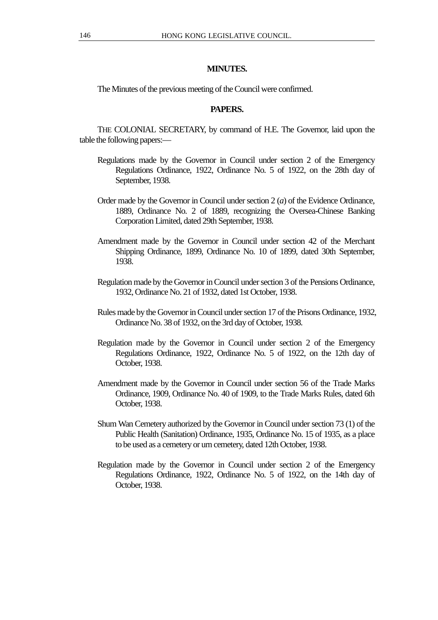## **MINUTES.**

The Minutes of the previous meeting of the Council were confirmed.

## **PAPERS.**

THE COLONIAL SECRETARY, by command of H.E. The Governor, laid upon the table the following papers:—

- Regulations made by the Governor in Council under section 2 of the Emergency Regulations Ordinance, 1922, Ordinance No. 5 of 1922, on the 28th day of September, 1938.
- Order made by the Governor in Council under section 2 (*a*) of the Evidence Ordinance, 1889, Ordinance No. 2 of 1889, recognizing the Oversea-Chinese Banking Corporation Limited, dated 29th September, 1938.
- Amendment made by the Governor in Council under section 42 of the Merchant Shipping Ordinance, 1899, Ordinance No. 10 of 1899, dated 30th September, 1938.
- Regulation made by the Governor in Council under section 3 of the Pensions Ordinance, 1932, Ordinance No. 21 of 1932, dated 1st October, 1938.
- Rules made by the Governor in Council under section 17 of the Prisons Ordinance, 1932, Ordinance No. 38 of 1932, on the 3rd day of October, 1938.
- Regulation made by the Governor in Council under section 2 of the Emergency Regulations Ordinance, 1922, Ordinance No. 5 of 1922, on the 12th day of October, 1938.
- Amendment made by the Governor in Council under section 56 of the Trade Marks Ordinance, 1909, Ordinance No. 40 of 1909, to the Trade Marks Rules, dated 6th October, 1938.
- Shum Wan Cemetery authorized by the Governor in Council under section 73 (1) of the Public Health (Sanitation) Ordinance, 1935, Ordinance No. 15 of 1935, as a place to be used as a cemetery or urn cemetery, dated 12th October, 1938.
- Regulation made by the Governor in Council under section 2 of the Emergency Regulations Ordinance, 1922, Ordinance No. 5 of 1922, on the 14th day of October, 1938.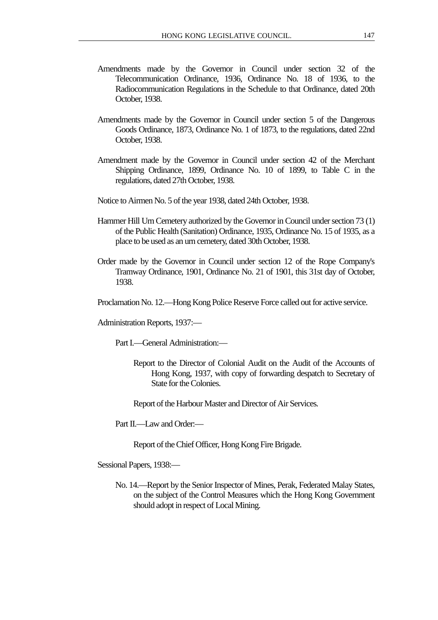- Amendments made by the Governor in Council under section 32 of the Telecommunication Ordinance, 1936, Ordinance No. 18 of 1936, to the Radiocommunication Regulations in the Schedule to that Ordinance, dated 20th October, 1938.
- Amendments made by the Governor in Council under section 5 of the Dangerous Goods Ordinance, 1873, Ordinance No. 1 of 1873, to the regulations, dated 22nd October, 1938.
- Amendment made by the Governor in Council under section 42 of the Merchant Shipping Ordinance, 1899, Ordinance No. 10 of 1899, to Table C in the regulations, dated 27th October, 1938.
- Notice to Airmen No. 5 of the year 1938, dated 24th October, 1938.
- Hammer Hill Urn Cemetery authorized by the Governor in Council under section 73 (1) of the Public Health (Sanitation) Ordinance, 1935, Ordinance No. 15 of 1935, as a place to be used as an urn cemetery, dated 30th October, 1938.
- Order made by the Governor in Council under section 12 of the Rope Company's Tramway Ordinance, 1901, Ordinance No. 21 of 1901, this 31st day of October, 1938.
- Proclamation No. 12.—Hong Kong Police Reserve Force called out for active service.

Administration Reports, 1937:—

Part I.—General Administration:—

Report to the Director of Colonial Audit on the Audit of the Accounts of Hong Kong, 1937, with copy of forwarding despatch to Secretary of State for the Colonies.

Report of the Harbour Master and Director of Air Services.

Part II.—I aw and Order:—

Report of the Chief Officer, Hong Kong Fire Brigade.

Sessional Papers, 1938:—

No. 14.—Report by the Senior Inspector of Mines, Perak, Federated Malay States, on the subject of the Control Measures which the Hong Kong Government should adopt in respect of Local Mining.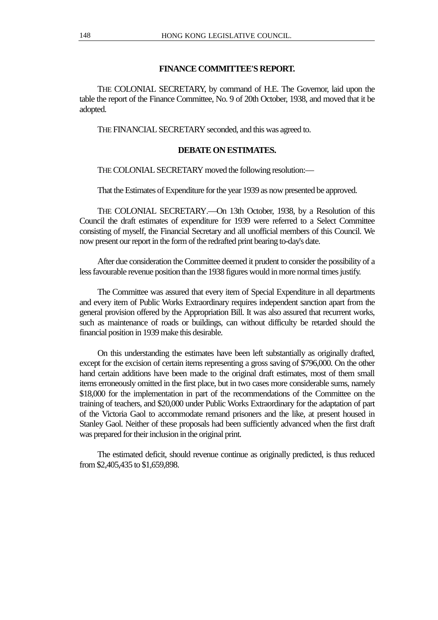## **FINANCE COMMITTEE'S REPORT.**

THE COLONIAL SECRETARY, by command of H.E. The Governor, laid upon the table the report of the Finance Committee, No. 9 of 20th October, 1938, and moved that it be adopted.

THE FINANCIAL SECRETARY seconded, and this was agreed to.

## **DEBATE ON ESTIMATES.**

THE COLONIAL SECRETARY moved the following resolution:—

That the Estimates of Expenditure for the year 1939 as now presented be approved.

THE COLONIAL SECRETARY.—On 13th October, 1938, by a Resolution of this Council the draft estimates of expenditure for 1939 were referred to a Select Committee consisting of myself, the Financial Secretary and all unofficial members of this Council. We now present our report in the form of the redrafted print bearing to-day's date.

After due consideration the Committee deemed it prudent to consider the possibility of a less favourable revenue position than the 1938 figures would in more normal times justify.

The Committee was assured that every item of Special Expenditure in all departments and every item of Public Works Extraordinary requires independent sanction apart from the general provision offered by the Appropriation Bill. It was also assured that recurrent works, such as maintenance of roads or buildings, can without difficulty be retarded should the financial position in 1939 make this desirable.

On this understanding the estimates have been left substantially as originally drafted, except for the excision of certain items representing a gross saving of \$796,000. On the other hand certain additions have been made to the original draft estimates, most of them small items erroneously omitted in the first place, but in two cases more considerable sums, namely \$18,000 for the implementation in part of the recommendations of the Committee on the training of teachers, and \$20,000 under Public Works Extraordinary for the adaptation of part of the Victoria Gaol to accommodate remand prisoners and the like, at present housed in Stanley Gaol. Neither of these proposals had been sufficiently advanced when the first draft was prepared for their inclusion in the original print.

The estimated deficit, should revenue continue as originally predicted, is thus reduced from \$2,405,435 to \$1,659,898.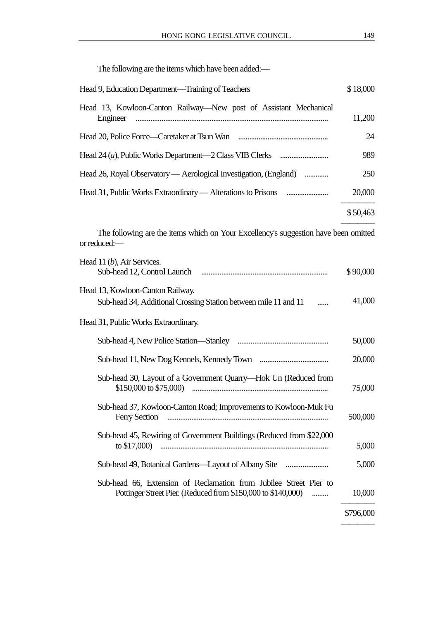The following are the items which have been added:—

| Head 9, Education Department—Training of Teachers                 | \$18,000 |
|-------------------------------------------------------------------|----------|
| Head 13, Kowloon-Canton Railway—New post of Assistant Mechanical  | 11,200   |
|                                                                   | 24       |
|                                                                   | 989      |
| Head 26, Royal Observatory — Aerological Investigation, (England) | 250      |
|                                                                   | 20,000   |
|                                                                   | \$50,463 |

The following are the items which on Your Excellency's suggestion have been omitted or reduced:—

| Head 11 (b), Air Services.                                                                                                        | \$90,000  |
|-----------------------------------------------------------------------------------------------------------------------------------|-----------|
| Head 13, Kowloon-Canton Railway.<br>Sub-head 34, Additional Crossing Station between mile 11 and 11                               | 41,000    |
| Head 31, Public Works Extraordinary.                                                                                              |           |
|                                                                                                                                   | 50,000    |
|                                                                                                                                   | 20,000    |
| Sub-head 30, Layout of a Government Quarry-Hok Un (Reduced from                                                                   | 75,000    |
| Sub-head 37, Kowloon-Canton Road; Improvements to Kowloon-Muk Fu<br><b>Ferry Section</b>                                          | 500,000   |
| Sub-head 45, Rewiring of Government Buildings (Reduced from \$22,000)<br>to $$17,000$ )                                           | 5,000     |
| Sub-head 49, Botanical Gardens—Layout of Albany Site                                                                              | 5,000     |
| Sub-head 66, Extension of Reclamation from Jubilee Street Pier to<br>Pottinger Street Pier. (Reduced from \$150,000 to \$140,000) | 10,000    |
|                                                                                                                                   | \$796,000 |
|                                                                                                                                   |           |

————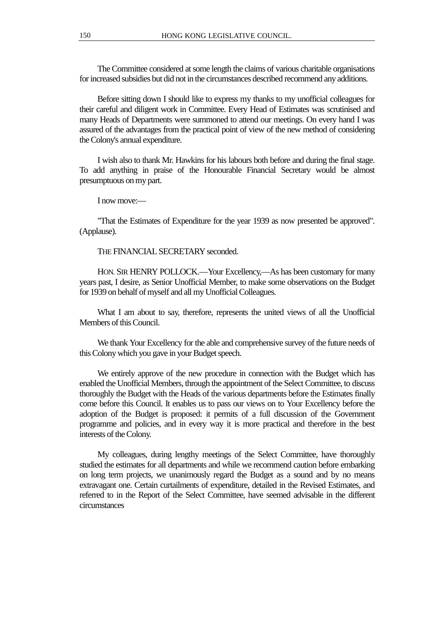The Committee considered at some length the claims of various charitable organisations for increased subsidies but did not in the circumstances described recommend any additions.

Before sitting down I should like to express my thanks to my unofficial colleagues for their careful and diligent work in Committee. Every Head of Estimates was scrutinised and many Heads of Departments were summoned to attend our meetings. On every hand I was assured of the advantages from the practical point of view of the new method of considering the Colony's annual expenditure.

I wish also to thank Mr. Hawkins for his labours both before and during the final stage. To add anything in praise of the Honourable Financial Secretary would be almost presumptuous on my part.

I now move:—

"That the Estimates of Expenditure for the year 1939 as now presented be approved". (Applause).

THE FINANCIAL SECRETARY seconded.

HON. SIR HENRY POLLOCK.—Your Excellency,—As has been customary for many years past, I desire, as Senior Unofficial Member, to make some observations on the Budget for 1939 on behalf of myself and all my Unofficial Colleagues.

What I am about to say, therefore, represents the united views of all the Unofficial Members of this Council.

We thank Your Excellency for the able and comprehensive survey of the future needs of this Colony which you gave in your Budget speech.

We entirely approve of the new procedure in connection with the Budget which has enabled the Unofficial Members, through the appointment of the Select Committee, to discuss thoroughly the Budget with the Heads of the various departments before the Estimates finally come before this Council. It enables us to pass our views on to Your Excellency before the adoption of the Budget is proposed: it permits of a full discussion of the Government programme and policies, and in every way it is more practical and therefore in the best interests of the Colony.

My colleagues, during lengthy meetings of the Select Committee, have thoroughly studied the estimates for all departments and while we recommend caution before embarking on long term projects, we unanimously regard the Budget as a sound and by no means extravagant one. Certain curtailments of expenditure, detailed in the Revised Estimates, and referred to in the Report of the Select Committee, have seemed advisable in the different circumstances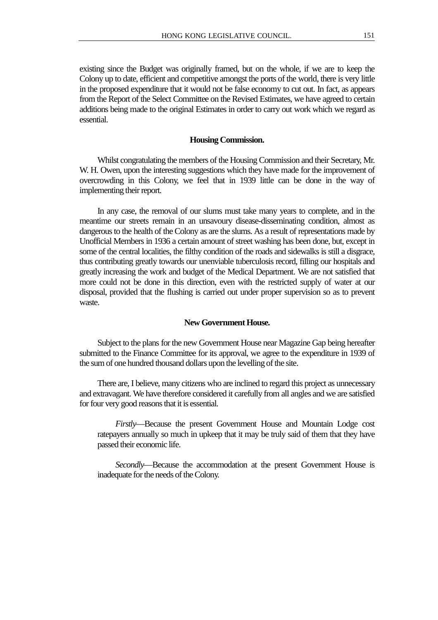existing since the Budget was originally framed, but on the whole, if we are to keep the Colony up to date, efficient and competitive amongst the ports of the world, there is very little in the proposed expenditure that it would not be false economy to cut out. In fact, as appears from the Report of the Select Committee on the Revised Estimates, we have agreed to certain additions being made to the original Estimates in order to carry out work which we regard as essential.

### **Housing Commission.**

Whilst congratulating the members of the Housing Commission and their Secretary, Mr. W. H. Owen, upon the interesting suggestions which they have made for the improvement of overcrowding in this Colony, we feel that in 1939 little can be done in the way of implementing their report.

In any case, the removal of our slums must take many years to complete, and in the meantime our streets remain in an unsavoury disease-disseminating condition, almost as dangerous to the health of the Colony as are the slums. As a result of representations made by Unofficial Members in 1936 a certain amount of street washing has been done, but, except in some of the central localities, the filthy condition of the roads and sidewalks is still a disgrace, thus contributing greatly towards our unenviable tuberculosis record, filling our hospitals and greatly increasing the work and budget of the Medical Department. We are not satisfied that more could not be done in this direction, even with the restricted supply of water at our disposal, provided that the flushing is carried out under proper supervision so as to prevent waste.

#### **New Government House.**

Subject to the plans for the new Government House near Magazine Gap being hereafter submitted to the Finance Committee for its approval, we agree to the expenditure in 1939 of the sum of one hundred thousand dollars upon the levelling of the site.

There are, I believe, many citizens who are inclined to regard this project as unnecessary and extravagant. We have therefore considered it carefully from all angles and we are satisfied for four very good reasons that it is essential.

*Firstly*—Because the present Government House and Mountain Lodge cost ratepayers annually so much in upkeep that it may be truly said of them that they have passed their economic life.

*Secondly*—Because the accommodation at the present Government House is inadequate for the needs of the Colony.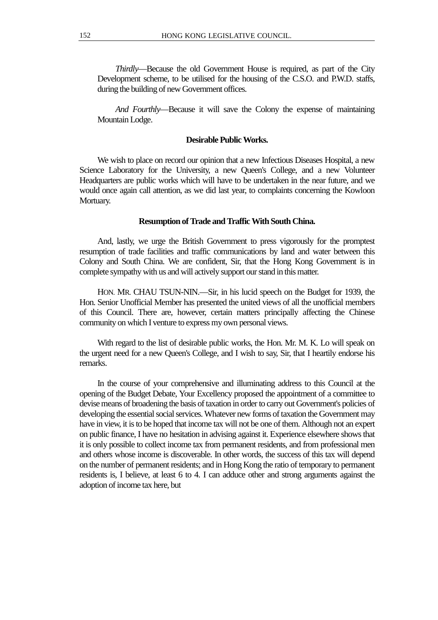*Thirdly*—Because the old Government House is required, as part of the City Development scheme, to be utilised for the housing of the C.S.O. and P.W.D. staffs, during the building of new Government offices.

*And Fourthly*—Because it will save the Colony the expense of maintaining Mountain Lodge.

#### **Desirable Public Works.**

We wish to place on record our opinion that a new Infectious Diseases Hospital, a new Science Laboratory for the University, a new Queen's College, and a new Volunteer Headquarters are public works which will have to be undertaken in the near future, and we would once again call attention, as we did last year, to complaints concerning the Kowloon Mortuary.

#### **Resumption of Trade and Traffic With South China.**

And, lastly, we urge the British Government to press vigorously for the promptest resumption of trade facilities and traffic communications by land and water between this Colony and South China. We are confident, Sir, that the Hong Kong Government is in complete sympathy with us and will actively support our stand in this matter.

HON. MR. CHAU TSUN-NIN.—Sir, in his lucid speech on the Budget for 1939, the Hon. Senior Unofficial Member has presented the united views of all the unofficial members of this Council. There are, however, certain matters principally affecting the Chinese community on which I venture to express my own personal views.

With regard to the list of desirable public works, the Hon. Mr. M. K. Lo will speak on the urgent need for a new Queen's College, and I wish to say, Sir, that I heartily endorse his remarks.

In the course of your comprehensive and illuminating address to this Council at the opening of the Budget Debate, Your Excellency proposed the appointment of a committee to devise means of broadening the basis of taxation in order to carry out Government's policies of developing the essential social services. Whatever new forms of taxation the Government may have in view, it is to be hoped that income tax will not be one of them. Although not an expert on public finance, I have no hesitation in advising against it. Experience elsewhere shows that it is only possible to collect income tax from permanent residents, and from professional men and others whose income is discoverable. In other words, the success of this tax will depend on the number of permanent residents; and in Hong Kong the ratio of temporary to permanent residents is, I believe, at least 6 to 4. I can adduce other and strong arguments against the adoption of income tax here, but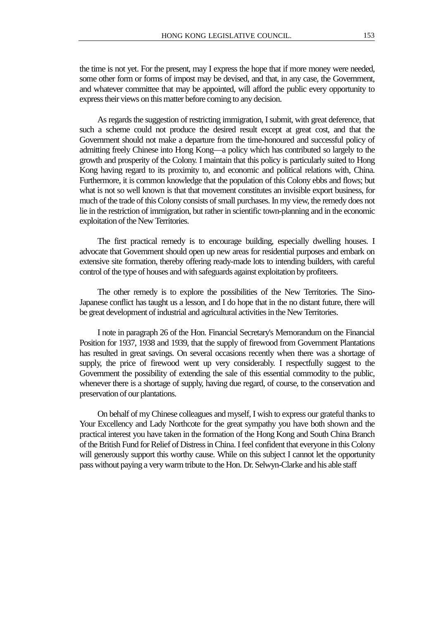the time is not yet. For the present, may I express the hope that if more money were needed, some other form or forms of impost may be devised, and that, in any case, the Government, and whatever committee that may be appointed, will afford the public every opportunity to express their views on this matter before coming to any decision.

As regards the suggestion of restricting immigration, I submit, with great deference, that such a scheme could not produce the desired result except at great cost, and that the Government should not make a departure from the time-honoured and successful policy of admitting freely Chinese into Hong Kong—a policy which has contributed so largely to the growth and prosperity of the Colony. I maintain that this policy is particularly suited to Hong Kong having regard to its proximity to, and economic and political relations with, China. Furthermore, it is common knowledge that the population of this Colony ebbs and flows; but what is not so well known is that that movement constitutes an invisible export business, for much of the trade of this Colony consists of small purchases. In my view, the remedy does not lie in the restriction of immigration, but rather in scientific town-planning and in the economic exploitation of the New Territories.

The first practical remedy is to encourage building, especially dwelling houses. I advocate that Government should open up new areas for residential purposes and embark on extensive site formation, thereby offering ready-made lots to intending builders, with careful control of the type of houses and with safeguards against exploitation by profiteers.

The other remedy is to explore the possibilities of the New Territories. The Sino-Japanese conflict has taught us a lesson, and I do hope that in the no distant future, there will be great development of industrial and agricultural activities in the New Territories.

I note in paragraph 26 of the Hon. Financial Secretary's Memorandum on the Financial Position for 1937, 1938 and 1939, that the supply of firewood from Government Plantations has resulted in great savings. On several occasions recently when there was a shortage of supply, the price of firewood went up very considerably. I respectfully suggest to the Government the possibility of extending the sale of this essential commodity to the public, whenever there is a shortage of supply, having due regard, of course, to the conservation and preservation of our plantations.

On behalf of my Chinese colleagues and myself, I wish to express our grateful thanks to Your Excellency and Lady Northcote for the great sympathy you have both shown and the practical interest you have taken in the formation of the Hong Kong and South China Branch of the British Fund for Relief of Distress in China. I feel confident that everyone in this Colony will generously support this worthy cause. While on this subject I cannot let the opportunity pass without paying a very warm tribute to the Hon. Dr. Selwyn-Clarke and his able staff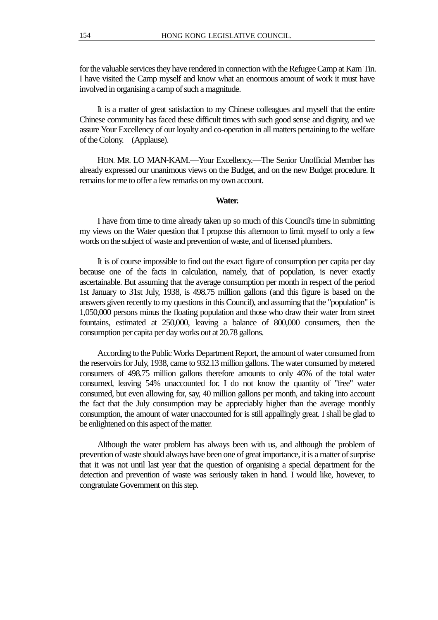for the valuable services they have rendered in connection with the Refugee Camp at Kam Tin. I have visited the Camp myself and know what an enormous amount of work it must have involved in organising a camp of such a magnitude.

It is a matter of great satisfaction to my Chinese colleagues and myself that the entire Chinese community has faced these difficult times with such good sense and dignity, and we assure Your Excellency of our loyalty and co-operation in all matters pertaining to the welfare of the Colony. (Applause).

HON. MR. LO MAN-KAM.—Your Excellency.—The Senior Unofficial Member has already expressed our unanimous views on the Budget, and on the new Budget procedure. It remains for me to offer a few remarks on my own account.

## **Water.**

I have from time to time already taken up so much of this Council's time in submitting my views on the Water question that I propose this afternoon to limit myself to only a few words on the subject of waste and prevention of waste, and of licensed plumbers.

It is of course impossible to find out the exact figure of consumption per capita per day because one of the facts in calculation, namely, that of population, is never exactly ascertainable. But assuming that the average consumption per month in respect of the period 1st January to 31st July, 1938, is 498.75 million gallons (and this figure is based on the answers given recently to my questions in this Council), and assuming that the "population" is 1,050,000 persons minus the floating population and those who draw their water from street fountains, estimated at 250,000, leaving a balance of 800,000 consumers, then the consumption per capita per day works out at 20.78 gallons.

According to the Public Works Department Report, the amount of water consumed from the reservoirs for July, 1938, came to 932.13 million gallons. The water consumed by metered consumers of 498.75 million gallons therefore amounts to only 46% of the total water consumed, leaving 54% unaccounted for. I do not know the quantity of "free" water consumed, but even allowing for, say, 40 million gallons per month, and taking into account the fact that the July consumption may be appreciably higher than the average monthly consumption, the amount of water unaccounted for is still appallingly great. I shall be glad to be enlightened on this aspect of the matter.

Although the water problem has always been with us, and although the problem of prevention of waste should always have been one of great importance, it is a matter of surprise that it was not until last year that the question of organising a special department for the detection and prevention of waste was seriously taken in hand. I would like, however, to congratulate Government on this step.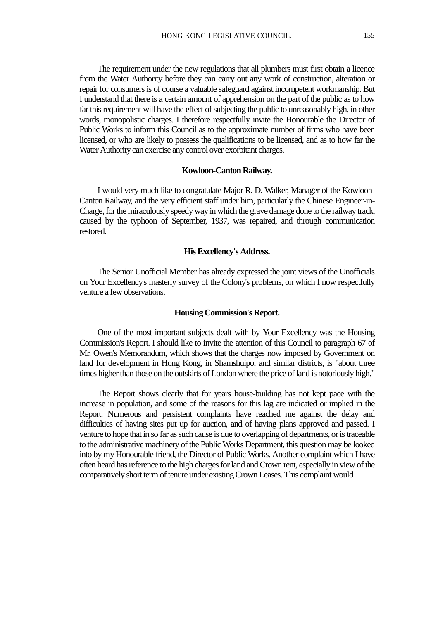The requirement under the new regulations that all plumbers must first obtain a licence from the Water Authority before they can carry out any work of construction, alteration or repair for consumers is of course a valuable safeguard against incompetent workmanship. But I understand that there is a certain amount of apprehension on the part of the public as to how far this requirement will have the effect of subjecting the public to unreasonably high, in other words, monopolistic charges. I therefore respectfully invite the Honourable the Director of Public Works to inform this Council as to the approximate number of firms who have been licensed, or who are likely to possess the qualifications to be licensed, and as to how far the Water Authority can exercise any control over exorbitant charges.

#### **Kowloon-Canton Railway.**

I would very much like to congratulate Major R. D. Walker, Manager of the Kowloon-Canton Railway, and the very efficient staff under him, particularly the Chinese Engineer-in-Charge, for the miraculously speedy way in which the grave damage done to the railway track, caused by the typhoon of September, 1937, was repaired, and through communication restored.

#### **His Excellency's Address.**

The Senior Unofficial Member has already expressed the joint views of the Unofficials on Your Excellency's masterly survey of the Colony's problems, on which I now respectfully venture a few observations.

## **Housing Commission's Report.**

One of the most important subjects dealt with by Your Excellency was the Housing Commission's Report. I should like to invite the attention of this Council to paragraph 67 of Mr. Owen's Memorandum, which shows that the charges now imposed by Government on land for development in Hong Kong, in Shamshuipo, and similar districts, is "about three times higher than those on the outskirts of London where the price of land is notoriously high."

The Report shows clearly that for years house-building has not kept pace with the increase in population, and some of the reasons for this lag are indicated or implied in the Report. Numerous and persistent complaints have reached me against the delay and difficulties of having sites put up for auction, and of having plans approved and passed. I venture to hope that in so far as such cause is due to overlapping of departments, or is traceable to the administrative machinery of the Public Works Department, this question may be looked into by my Honourable friend, the Director of Public Works. Another complaint which I have often heard has reference to the high charges for land and Crown rent, especially in view of the comparatively short term of tenure under existing Crown Leases. This complaint would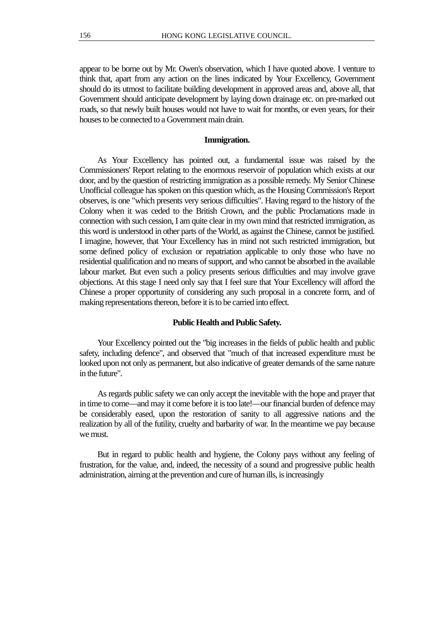appear to be borne out by Mr. Owen's observation, which I have quoted above. I venture to think that, apart from any action on the lines indicated by Your Excellency, Government should do its utmost to facilitate building development in approved areas and, above all, that Government should anticipate development by laying down drainage etc. on pre-marked out roads, so that newly built houses would not have to wait for months, or even years, for their houses to be connected to a Government main drain.

## **Immigration.**

As Your Excellency has pointed out, a fundamental issue was raised by the Commissioners' Report relating to the enormous reservoir of population which exists at our door, and by the question of restricting immigration as a possible remedy. My Senior Chinese Unofficial colleague has spoken on this question which, as the Housing Commission's Report observes, is one "which presents very serious difficulties". Having regard to the history of the Colony when it was ceded to the British Crown, and the public Proclamations made in connection with such cession, I am quite clear in my own mind that restricted immigration, as this word is understood in other parts of the World, as against the Chinese, cannot be justified. I imagine, however, that Your Excellency has in mind not such restricted immigration, but some defined policy of exclusion or repatriation applicable to only those who have no residential qualification and no means of support, and who cannot be absorbed in the available labour market. But even such a policy presents serious difficulties and may involve grave objections. At this stage I need only say that I feel sure that Your Excellency will afford the Chinese a proper opportunity of considering any such proposal in a concrete form, and of making representations thereon, before it is to be carried into effect.

## **Public Health and Public Safety.**

Your Excellency pointed out the "big increases in the fields of public health and public safety, including defence", and observed that "much of that increased expenditure must be looked upon not only as permanent, but also indicative of greater demands of the same nature in the future".

As regards public safety we can only accept the inevitable with the hope and prayer that in time to come—and may it come before it is too late!—our financial burden of defence may be considerably eased, upon the restoration of sanity to all aggressive nations and the realization by all of the futility, cruelty and barbarity of war. In the meantime we pay because we must.

But in regard to public health and hygiene, the Colony pays without any feeling of frustration, for the value, and, indeed, the necessity of a sound and progressive public health administration, aiming at the prevention and cure of human ills, is increasingly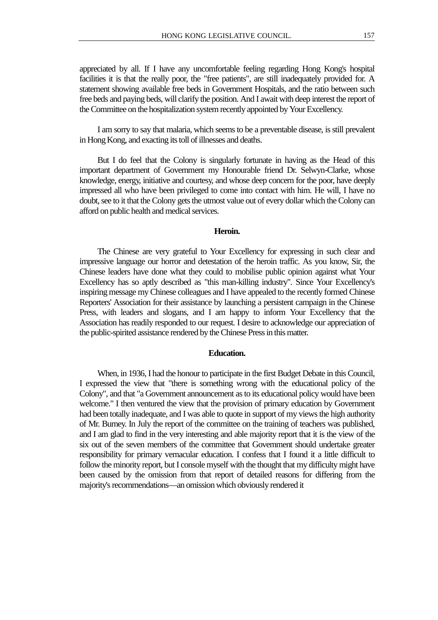appreciated by all. If I have any uncomfortable feeling regarding Hong Kong's hospital facilities it is that the really poor, the "free patients", are still inadequately provided for. A statement showing available free beds in Government Hospitals, and the ratio between such free beds and paying beds, will clarify the position. And I await with deep interest the report of the Committee on the hospitalization system recently appointed by Your Excellency.

I am sorry to say that malaria, which seems to be a preventable disease, is still prevalent in Hong Kong, and exacting its toll of illnesses and deaths.

But I do feel that the Colony is singularly fortunate in having as the Head of this important department of Government my Honourable friend Dr. Selwyn-Clarke, whose knowledge, energy, initiative and courtesy, and whose deep concern for the poor, have deeply impressed all who have been privileged to come into contact with him. He will, I have no doubt, see to it that the Colony gets the utmost value out of every dollar which the Colony can afford on public health and medical services.

### **Heroin.**

The Chinese are very grateful to Your Excellency for expressing in such clear and impressive language our horror and detestation of the heroin traffic. As you know, Sir, the Chinese leaders have done what they could to mobilise public opinion against what Your Excellency has so aptly described as "this man-killing industry". Since Your Excellency's inspiring message my Chinese colleagues and I have appealed to the recently formed Chinese Reporters' Association for their assistance by launching a persistent campaign in the Chinese Press, with leaders and slogans, and I am happy to inform Your Excellency that the Association has readily responded to our request. I desire to acknowledge our appreciation of the public-spirited assistance rendered by the Chinese Press in this matter.

#### **Education.**

When, in 1936, I had the honour to participate in the first Budget Debate in this Council, I expressed the view that "there is something wrong with the educational policy of the Colony", and that "a Government announcement as to its educational policy would have been welcome." I then ventured the view that the provision of primary education by Government had been totally inadequate, and I was able to quote in support of my views the high authority of Mr. Burney. In July the report of the committee on the training of teachers was published, and I am glad to find in the very interesting and able majority report that it is the view of the six out of the seven members of the committee that Government should undertake greater responsibility for primary vernacular education. I confess that I found it a little difficult to follow the minority report, but I console myself with the thought that my difficulty might have been caused by the omission from that report of detailed reasons for differing from the majority's recommendations—an omission which obviously rendered it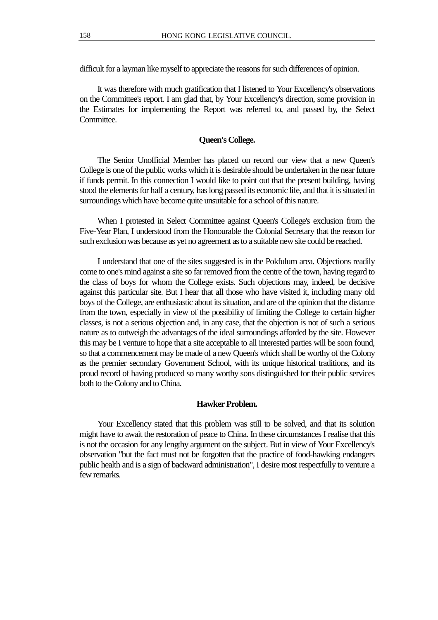difficult for a layman like myself to appreciate the reasons for such differences of opinion.

It was therefore with much gratification that I listened to Your Excellency's observations on the Committee's report. I am glad that, by Your Excellency's direction, some provision in the Estimates for implementing the Report was referred to, and passed by, the Select Committee.

## **Queen's College.**

The Senior Unofficial Member has placed on record our view that a new Queen's College is one of the public works which it is desirable should be undertaken in the near future if funds permit. In this connection I would like to point out that the present building, having stood the elements for half a century, has long passed its economic life, and that it is situated in surroundings which have become quite unsuitable for a school of this nature.

When I protested in Select Committee against Queen's College's exclusion from the Five-Year Plan, I understood from the Honourable the Colonial Secretary that the reason for such exclusion was because as yet no agreement as to a suitable new site could be reached.

I understand that one of the sites suggested is in the Pokfulum area. Objections readily come to one's mind against a site so far removed from the centre of the town, having regard to the class of boys for whom the College exists. Such objections may, indeed, be decisive against this particular site. But I hear that all those who have visited it, including many old boys of the College, are enthusiastic about its situation, and are of the opinion that the distance from the town, especially in view of the possibility of limiting the College to certain higher classes, is not a serious objection and, in any case, that the objection is not of such a serious nature as to outweigh the advantages of the ideal surroundings afforded by the site. However this may be I venture to hope that a site acceptable to all interested parties will be soon found, so that a commencement may be made of a new Queen's which shall be worthy of the Colony as the premier secondary Government School, with its unique historical traditions, and its proud record of having produced so many worthy sons distinguished for their public services both to the Colony and to China.

#### **Hawker Problem.**

Your Excellency stated that this problem was still to be solved, and that its solution might have to await the restoration of peace to China. In these circumstances I realise that this is not the occasion for any lengthy argument on the subject. But in view of Your Excellency's observation "but the fact must not be forgotten that the practice of food-hawking endangers public health and is a sign of backward administration", I desire most respectfully to venture a few remarks.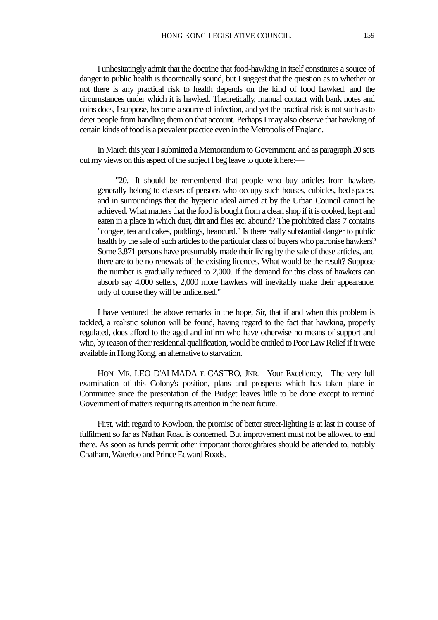I unhesitatingly admit that the doctrine that food-hawking in itself constitutes a source of danger to public health is theoretically sound, but I suggest that the question as to whether or not there is any practical risk to health depends on the kind of food hawked, and the circumstances under which it is hawked. Theoretically, manual contact with bank notes and coins does, I suppose, become a source of infection, and yet the practical risk is not such as to deter people from handling them on that account. Perhaps I may also observe that hawking of certain kinds of food is a prevalent practice even in the Metropolis of England.

In March this year I submitted a Memorandum to Government, and as paragraph 20 sets out my views on this aspect of the subject I beg leave to quote it here:—

"20. It should be remembered that people who buy articles from hawkers generally belong to classes of persons who occupy such houses, cubicles, bed-spaces, and in surroundings that the hygienic ideal aimed at by the Urban Council cannot be achieved. What matters that the food is bought from a clean shop if it is cooked, kept and eaten in a place in which dust, dirt and flies etc. abound? The prohibited class 7 contains "congee, tea and cakes, puddings, beancurd." Is there really substantial danger to public health by the sale of such articles to the particular class of buyers who patronise hawkers? Some 3,871 persons have presumably made their living by the sale of these articles, and there are to be no renewals of the existing licences. What would be the result? Suppose the number is gradually reduced to 2,000. If the demand for this class of hawkers can absorb say 4,000 sellers, 2,000 more hawkers will inevitably make their appearance, only of course they will be unlicensed."

I have ventured the above remarks in the hope, Sir, that if and when this problem is tackled, a realistic solution will be found, having regard to the fact that hawking, properly regulated, does afford to the aged and infirm who have otherwise no means of support and who, by reason of their residential qualification, would be entitled to Poor Law Relief if it were available in Hong Kong, an alternative to starvation.

HON. MR. LEO D'ALMADA E CASTRO, JNR.—Your Excellency,—The very full examination of this Colony's position, plans and prospects which has taken place in Committee since the presentation of the Budget leaves little to be done except to remind Government of matters requiring its attention in the near future.

First, with regard to Kowloon, the promise of better street-lighting is at last in course of fulfilment so far as Nathan Road is concerned. But improvement must not be allowed to end there. As soon as funds permit other important thoroughfares should be attended to, notably Chatham, Waterloo and Prince Edward Roads.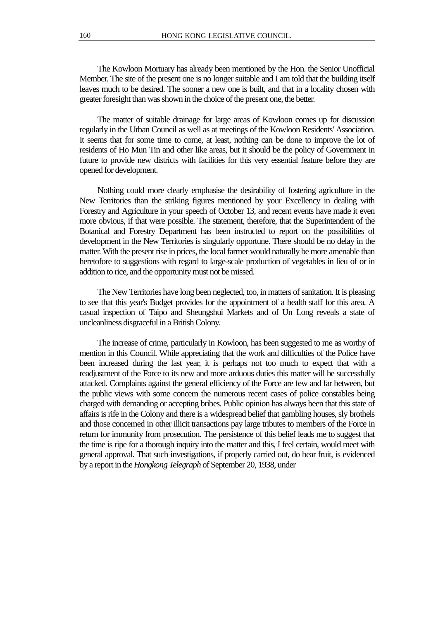The Kowloon Mortuary has already been mentioned by the Hon. the Senior Unofficial Member. The site of the present one is no longer suitable and I am told that the building itself leaves much to be desired. The sooner a new one is built, and that in a locality chosen with greater foresight than was shown in the choice of the present one, the better.

The matter of suitable drainage for large areas of Kowloon comes up for discussion regularly in the Urban Council as well as at meetings of the Kowloon Residents' Association. It seems that for some time to come, at least, nothing can be done to improve the lot of residents of Ho Mun Tin and other like areas, but it should be the policy of Government in future to provide new districts with facilities for this very essential feature before they are opened for development.

Nothing could more clearly emphasise the desirability of fostering agriculture in the New Territories than the striking figures mentioned by your Excellency in dealing with Forestry and Agriculture in your speech of October 13, and recent events have made it even more obvious, if that were possible. The statement, therefore, that the Superintendent of the Botanical and Forestry Department has been instructed to report on the possibilities of development in the New Territories is singularly opportune. There should be no delay in the matter. With the present rise in prices, the local farmer would naturally be more amenable than heretofore to suggestions with regard to large-scale production of vegetables in lieu of or in addition to rice, and the opportunity must not be missed.

The New Territories have long been neglected, too, in matters of sanitation. It is pleasing to see that this year's Budget provides for the appointment of a health staff for this area. A casual inspection of Taipo and Sheungshui Markets and of Un Long reveals a state of uncleanliness disgraceful in a British Colony.

The increase of crime, particularly in Kowloon, has been suggested to me as worthy of mention in this Council. While appreciating that the work and difficulties of the Police have been increased during the last year, it is perhaps not too much to expect that with a readjustment of the Force to its new and more arduous duties this matter will be successfully attacked. Complaints against the general efficiency of the Force are few and far between, but the public views with some concern the numerous recent cases of police constables being charged with demanding or accepting bribes. Public opinion has always been that this state of affairs is rife in the Colony and there is a widespread belief that gambling houses, sly brothels and those concerned in other illicit transactions pay large tributes to members of the Force in return for immunity from prosecution. The persistence of this belief leads me to suggest that the time is ripe for a thorough inquiry into the matter and this, I feel certain, would meet with general approval. That such investigations, if properly carried out, do bear fruit, is evidenced by a report in the *Hongkong Telegraph* of September 20, 1938, under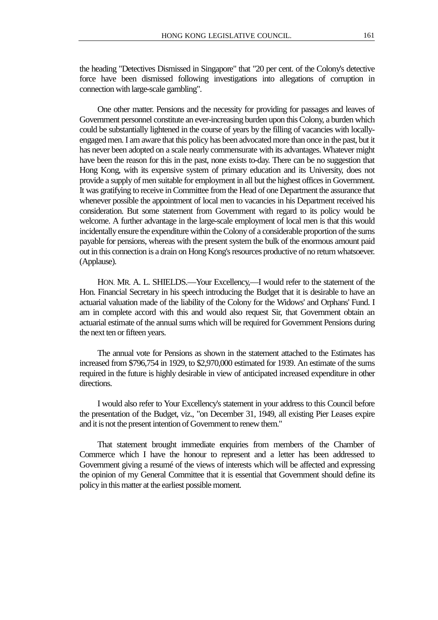the heading "Detectives Dismissed in Singapore" that "20 per cent. of the Colony's detective force have been dismissed following investigations into allegations of corruption in connection with large-scale gambling".

One other matter. Pensions and the necessity for providing for passages and leaves of Government personnel constitute an ever-increasing burden upon this Colony, a burden which could be substantially lightened in the course of years by the filling of vacancies with locallyengaged men. I am aware that this policy has been advocated more than once in the past, but it has never been adopted on a scale nearly commensurate with its advantages. Whatever might have been the reason for this in the past, none exists to-day. There can be no suggestion that Hong Kong, with its expensive system of primary education and its University, does not provide a supply of men suitable for employment in all but the highest offices in Government. It was gratifying to receive in Committee from the Head of one Department the assurance that whenever possible the appointment of local men to vacancies in his Department received his consideration. But some statement from Government with regard to its policy would be welcome. A further advantage in the large-scale employment of local men is that this would incidentally ensure the expenditure within the Colony of a considerable proportion of the sums payable for pensions, whereas with the present system the bulk of the enormous amount paid out in this connection is a drain on Hong Kong's resources productive of no return whatsoever. (Applause).

HON. MR. A. L. SHIELDS.—Your Excellency,—I would refer to the statement of the Hon. Financial Secretary in his speech introducing the Budget that it is desirable to have an actuarial valuation made of the liability of the Colony for the Widows' and Orphans' Fund. I am in complete accord with this and would also request Sir, that Government obtain an actuarial estimate of the annual sums which will be required for Government Pensions during the next ten or fifteen years.

The annual vote for Pensions as shown in the statement attached to the Estimates has increased from \$796,754 in 1929, to \$2,970,000 estimated for 1939. An estimate of the sums required in the future is highly desirable in view of anticipated increased expenditure in other directions.

I would also refer to Your Excellency's statement in your address to this Council before the presentation of the Budget, viz., "on December 31, 1949, all existing Pier Leases expire and it is not the present intention of Government to renew them."

That statement brought immediate enquiries from members of the Chamber of Commerce which I have the honour to represent and a letter has been addressed to Government giving a resumé of the views of interests which will be affected and expressing the opinion of my General Committee that it is essential that Government should define its policy in this matter at the earliest possible moment.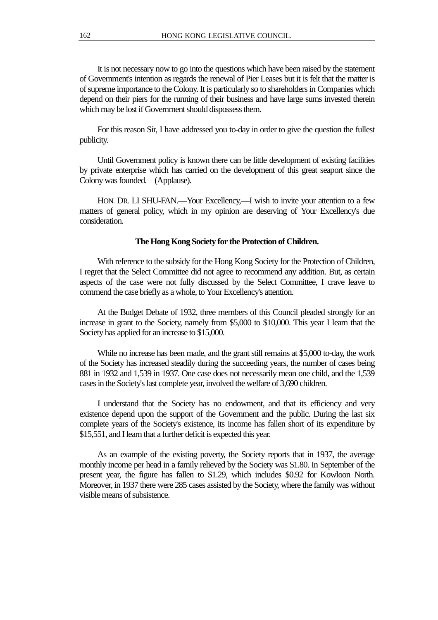It is not necessary now to go into the questions which have been raised by the statement of Government's intention as regards the renewal of Pier Leases but it is felt that the matter is of supreme importance to the Colony. It is particularly so to shareholders in Companies which depend on their piers for the running of their business and have large sums invested therein which may be lost if Government should dispossess them.

For this reason Sir, I have addressed you to-day in order to give the question the fullest publicity.

Until Government policy is known there can be little development of existing facilities by private enterprise which has carried on the development of this great seaport since the Colony was founded. (Applause).

HON. DR. LI SHU-FAN.—Your Excellency,—I wish to invite your attention to a few matters of general policy, which in my opinion are deserving of Your Excellency's due consideration.

### **The Hong Kong Society for the Protection of Children.**

With reference to the subsidy for the Hong Kong Society for the Protection of Children, I regret that the Select Committee did not agree to recommend any addition. But, as certain aspects of the case were not fully discussed by the Select Committee, I crave leave to commend the case briefly as a whole, to Your Excellency's attention.

At the Budget Debate of 1932, three members of this Council pleaded strongly for an increase in grant to the Society, namely from \$5,000 to \$10,000. This year I learn that the Society has applied for an increase to \$15,000.

While no increase has been made, and the grant still remains at \$5,000 to-day, the work of the Society has increased steadily during the succeeding years, the number of cases being 881 in 1932 and 1,539 in 1937. One case does not necessarily mean one child, and the 1,539 cases in the Society's last complete year, involved the welfare of 3,690 children.

I understand that the Society has no endowment, and that its efficiency and very existence depend upon the support of the Government and the public. During the last six complete years of the Society's existence, its income has fallen short of its expenditure by \$15,551, and I learn that a further deficit is expected this year.

As an example of the existing poverty, the Society reports that in 1937, the average monthly income per head in a family relieved by the Society was \$1.80. In September of the present year, the figure has fallen to \$1.29, which includes \$0.92 for Kowloon North. Moreover, in 1937 there were 285 cases assisted by the Society, where the family was without visible means of subsistence.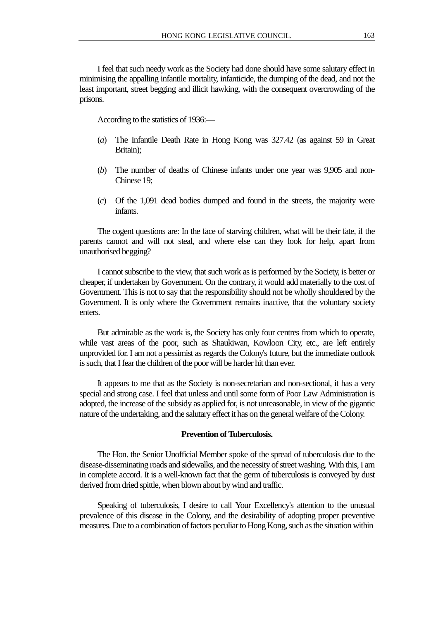I feel that such needy work as the Society had done should have some salutary effect in minimising the appalling infantile mortality, infanticide, the dumping of the dead, and not the least important, street begging and illicit hawking, with the consequent overcrowding of the prisons.

According to the statistics of 1936:—

- (*a*) The Infantile Death Rate in Hong Kong was 327.42 (as against 59 in Great Britain);
- (*b*) The number of deaths of Chinese infants under one year was 9,905 and non-Chinese 19;
- (*c*) Of the 1,091 dead bodies dumped and found in the streets, the majority were infants.

The cogent questions are: In the face of starving children, what will be their fate, if the parents cannot and will not steal, and where else can they look for help, apart from unauthorised begging?

I cannot subscribe to the view, that such work as is performed by the Society, is better or cheaper, if undertaken by Government. On the contrary, it would add materially to the cost of Government. This is not to say that the responsibility should not be wholly shouldered by the Government. It is only where the Government remains inactive, that the voluntary society enters.

But admirable as the work is, the Society has only four centres from which to operate, while vast areas of the poor, such as Shaukiwan, Kowloon City, etc., are left entirely unprovided for. I am not a pessimist as regards the Colony's future, but the immediate outlook is such, that I fear the children of the poor will be harder hit than ever.

It appears to me that as the Society is non-secretarian and non-sectional, it has a very special and strong case. I feel that unless and until some form of Poor Law Administration is adopted, the increase of the subsidy as applied for, is not unreasonable, in view of the gigantic nature of the undertaking, and the salutary effect it has on the general welfare of the Colony.

## **Prevention of Tuberculosis.**

The Hon. the Senior Unofficial Member spoke of the spread of tuberculosis due to the disease-disseminating roads and sidewalks, and the necessity of street washing. With this, I am in complete accord. It is a well-known fact that the germ of tuberculosis is conveyed by dust derived from dried spittle, when blown about by wind and traffic.

Speaking of tuberculosis, I desire to call Your Excellency's attention to the unusual prevalence of this disease in the Colony, and the desirability of adopting proper preventive measures. Due to a combination of factors peculiar to Hong Kong, such as the situation within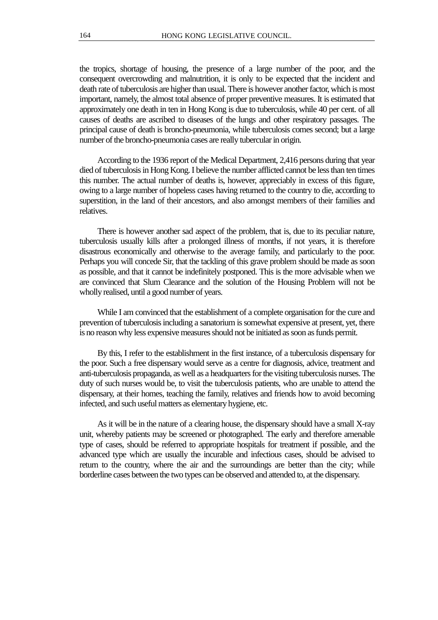the tropics, shortage of housing, the presence of a large number of the poor, and the consequent overcrowding and malnutrition, it is only to be expected that the incident and death rate of tuberculosis are higher than usual. There is however another factor, which is most important, namely, the almost total absence of proper preventive measures. It is estimated that approximately one death in ten in Hong Kong is due to tuberculosis, while 40 per cent. of all causes of deaths are ascribed to diseases of the lungs and other respiratory passages. The principal cause of death is broncho-pneumonia, while tuberculosis comes second; but a large number of the broncho-pneumonia cases are really tubercular in origin.

According to the 1936 report of the Medical Department, 2,416 persons during that year died of tuberculosis in Hong Kong. I believe the number afflicted cannot be less than ten times this number. The actual number of deaths is, however, appreciably in excess of this figure, owing to a large number of hopeless cases having returned to the country to die, according to superstition, in the land of their ancestors, and also amongst members of their families and relatives.

There is however another sad aspect of the problem, that is, due to its peculiar nature, tuberculosis usually kills after a prolonged illness of months, if not years, it is therefore disastrous economically and otherwise to the average family, and particularly to the poor. Perhaps you will concede Sir, that the tackling of this grave problem should be made as soon as possible, and that it cannot be indefinitely postponed. This is the more advisable when we are convinced that Slum Clearance and the solution of the Housing Problem will not be wholly realised, until a good number of years.

While I am convinced that the establishment of a complete organisation for the cure and prevention of tuberculosis including a sanatorium is somewhat expensive at present, yet, there is no reason why less expensive measures should not be initiated as soon as funds permit.

By this, I refer to the establishment in the first instance, of a tuberculosis dispensary for the poor. Such a free dispensary would serve as a centre for diagnosis, advice, treatment and anti-tuberculosis propaganda, as well as a headquarters for the visiting tuberculosis nurses. The duty of such nurses would be, to visit the tuberculosis patients, who are unable to attend the dispensary, at their homes, teaching the family, relatives and friends how to avoid becoming infected, and such useful matters as elementary hygiene, etc.

As it will be in the nature of a clearing house, the dispensary should have a small X-ray unit, whereby patients may be screened or photographed. The early and therefore amenable type of cases, should be referred to appropriate hospitals for treatment if possible, and the advanced type which are usually the incurable and infectious cases, should be advised to return to the country, where the air and the surroundings are better than the city; while borderline cases between the two types can be observed and attended to, at the dispensary.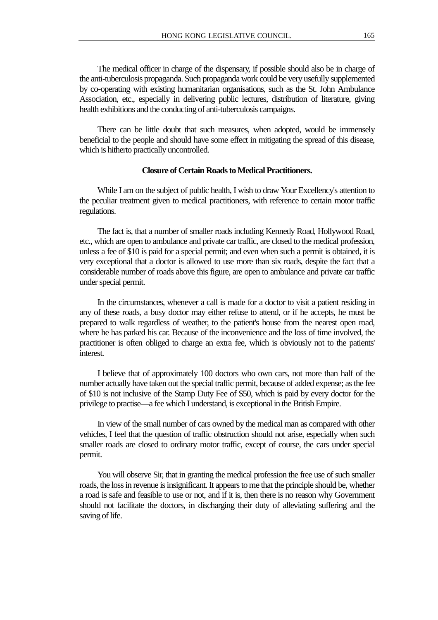The medical officer in charge of the dispensary, if possible should also be in charge of the anti-tuberculosis propaganda. Such propaganda work could be very usefully supplemented by co-operating with existing humanitarian organisations, such as the St. John Ambulance Association, etc., especially in delivering public lectures, distribution of literature, giving health exhibitions and the conducting of anti-tuberculosis campaigns.

There can be little doubt that such measures, when adopted, would be immensely beneficial to the people and should have some effect in mitigating the spread of this disease, which is hitherto practically uncontrolled.

## **Closure of Certain Roads to Medical Practitioners.**

While I am on the subject of public health, I wish to draw Your Excellency's attention to the peculiar treatment given to medical practitioners, with reference to certain motor traffic regulations.

The fact is, that a number of smaller roads including Kennedy Road, Hollywood Road, etc., which are open to ambulance and private car traffic, are closed to the medical profession, unless a fee of \$10 is paid for a special permit; and even when such a permit is obtained, it is very exceptional that a doctor is allowed to use more than six roads, despite the fact that a considerable number of roads above this figure, are open to ambulance and private car traffic under special permit.

In the circumstances, whenever a call is made for a doctor to visit a patient residing in any of these roads, a busy doctor may either refuse to attend, or if he accepts, he must be prepared to walk regardless of weather, to the patient's house from the nearest open road, where he has parked his car. Because of the inconvenience and the loss of time involved, the practitioner is often obliged to charge an extra fee, which is obviously not to the patients' interest.

I believe that of approximately 100 doctors who own cars, not more than half of the number actually have taken out the special traffic permit, because of added expense; as the fee of \$10 is not inclusive of the Stamp Duty Fee of \$50, which is paid by every doctor for the privilege to practise—a fee which I understand, is exceptional in the British Empire.

In view of the small number of cars owned by the medical man as compared with other vehicles, I feel that the question of traffic obstruction should not arise, especially when such smaller roads are closed to ordinary motor traffic, except of course, the cars under special permit.

You will observe Sir, that in granting the medical profession the free use of such smaller roads, the loss in revenue is insignificant. It appears to me that the principle should be, whether a road is safe and feasible to use or not, and if it is, then there is no reason why Government should not facilitate the doctors, in discharging their duty of alleviating suffering and the saving of life.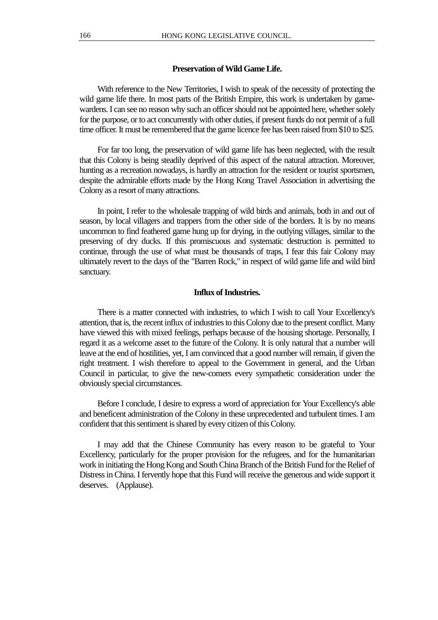## **Preservation of Wild Game Life.**

With reference to the New Territories, I wish to speak of the necessity of protecting the wild game life there. In most parts of the British Empire, this work is undertaken by gamewardens. I can see no reason why such an officer should not be appointed here, whether solely for the purpose, or to act concurrently with other duties, if present funds do not permit of a full time officer. It must be remembered that the game licence fee has been raised from \$10 to \$25.

For far too long, the preservation of wild game life has been neglected, with the result that this Colony is being steadily deprived of this aspect of the natural attraction. Moreover, hunting as a recreation nowadays, is hardly an attraction for the resident or tourist sportsmen, despite the admirable efforts made by the Hong Kong Travel Association in advertising the Colony as a resort of many attractions.

In point, I refer to the wholesale trapping of wild birds and animals, both in and out of season, by local villagers and trappers from the other side of the borders. It is by no means uncommon to find feathered game hung up for drying, in the outlying villages, similar to the preserving of dry ducks. If this promiscuous and systematic destruction is permitted to continue, through the use of what must be thousands of traps, I fear this fair Colony may ultimately revert to the days of the "Barren Rock," in respect of wild game life and wild bird sanctuary.

### **Influx of Industries.**

There is a matter connected with industries, to which I wish to call Your Excellency's attention, that is, the recent influx of industries to this Colony due to the present conflict. Many have viewed this with mixed feelings, perhaps because of the housing shortage. Personally, I regard it as a welcome asset to the future of the Colony. It is only natural that a number will leave at the end of hostilities, yet, I am convinced that a good number will remain, if given the right treatment. I wish therefore to appeal to the Government in general, and the Urban Council in particular, to give the new-comers every sympathetic consideration under the obviously special circumstances.

Before I conclude, I desire to express a word of appreciation for Your Excellency's able and beneficent administration of the Colony in these unprecedented and turbulent times. I am confident that this sentiment is shared by every citizen of this Colony.

I may add that the Chinese Community has every reason to be grateful to Your Excellency, particularly for the proper provision for the refugees, and for the humanitarian work in initiating the Hong Kong and South China Branch of the British Fund for the Relief of Distress in China. I fervently hope that this Fund will receive the generous and wide support it deserves. (Applause).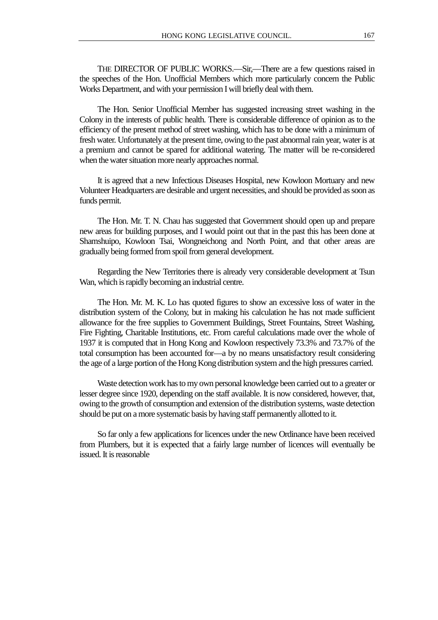THE DIRECTOR OF PUBLIC WORKS.—Sir,—There are a few questions raised in the speeches of the Hon. Unofficial Members which more particularly concern the Public Works Department, and with your permission I will briefly deal with them.

The Hon. Senior Unofficial Member has suggested increasing street washing in the Colony in the interests of public health. There is considerable difference of opinion as to the efficiency of the present method of street washing, which has to be done with a minimum of fresh water. Unfortunately at the present time, owing to the past abnormal rain year, water is at a premium and cannot be spared for additional watering. The matter will be re-considered when the water situation more nearly approaches normal.

It is agreed that a new Infectious Diseases Hospital, new Kowloon Mortuary and new Volunteer Headquarters are desirable and urgent necessities, and should be provided as soon as funds permit.

The Hon. Mr. T. N. Chau has suggested that Government should open up and prepare new areas for building purposes, and I would point out that in the past this has been done at Shamshuipo, Kowloon Tsai, Wongneichong and North Point, and that other areas are gradually being formed from spoil from general development.

Regarding the New Territories there is already very considerable development at Tsun Wan, which is rapidly becoming an industrial centre.

The Hon. Mr. M. K. Lo has quoted figures to show an excessive loss of water in the distribution system of the Colony, but in making his calculation he has not made sufficient allowance for the free supplies to Government Buildings, Street Fountains, Street Washing, Fire Fighting, Charitable Institutions, etc. From careful calculations made over the whole of 1937 it is computed that in Hong Kong and Kowloon respectively 73.3% and 73.7% of the total consumption has been accounted for—a by no means unsatisfactory result considering the age of a large portion of the Hong Kong distribution system and the high pressures carried.

Waste detection work has to my own personal knowledge been carried out to a greater or lesser degree since 1920, depending on the staff available. It is now considered, however, that, owing to the growth of consumption and extension of the distribution systems, waste detection should be put on a more systematic basis by having staff permanently allotted to it.

So far only a few applications for licences under the new Ordinance have been received from Plumbers, but it is expected that a fairly large number of licences will eventually be issued. It is reasonable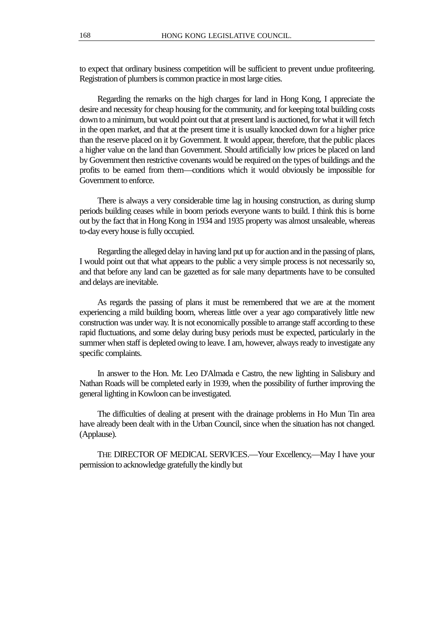to expect that ordinary business competition will be sufficient to prevent undue profiteering. Registration of plumbers is common practice in most large cities.

Regarding the remarks on the high charges for land in Hong Kong, I appreciate the desire and necessity for cheap housing for the community, and for keeping total building costs down to a minimum, but would point out that at present land is auctioned, for what it will fetch in the open market, and that at the present time it is usually knocked down for a higher price than the reserve placed on it by Government. It would appear, therefore, that the public places a higher value on the land than Government. Should artificially low prices be placed on land by Government then restrictive covenants would be required on the types of buildings and the profits to be earned from them—conditions which it would obviously be impossible for Government to enforce.

There is always a very considerable time lag in housing construction, as during slump periods building ceases while in boom periods everyone wants to build. I think this is borne out by the fact that in Hong Kong in 1934 and 1935 property was almost unsaleable, whereas to-day every house is fully occupied.

Regarding the alleged delay in having land put up for auction and in the passing of plans, I would point out that what appears to the public a very simple process is not necessarily so, and that before any land can be gazetted as for sale many departments have to be consulted and delays are inevitable.

As regards the passing of plans it must be remembered that we are at the moment experiencing a mild building boom, whereas little over a year ago comparatively little new construction was under way. It is not economically possible to arrange staff according to these rapid fluctuations, and some delay during busy periods must be expected, particularly in the summer when staff is depleted owing to leave. I am, however, always ready to investigate any specific complaints.

In answer to the Hon. Mr. Leo D'Almada e Castro, the new lighting in Salisbury and Nathan Roads will be completed early in 1939, when the possibility of further improving the general lighting in Kowloon can be investigated.

The difficulties of dealing at present with the drainage problems in Ho Mun Tin area have already been dealt with in the Urban Council, since when the situation has not changed. (Applause).

THE DIRECTOR OF MEDICAL SERVICES.—Your Excellency,—May I have your permission to acknowledge gratefully the kindly but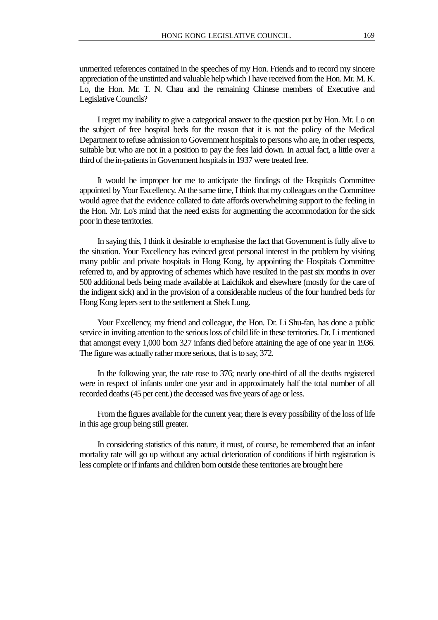unmerited references contained in the speeches of my Hon. Friends and to record my sincere appreciation of the unstinted and valuable help which I have received from the Hon. Mr. M. K. Lo, the Hon. Mr. T. N. Chau and the remaining Chinese members of Executive and

I regret my inability to give a categorical answer to the question put by Hon. Mr. Lo on the subject of free hospital beds for the reason that it is not the policy of the Medical Department to refuse admission to Government hospitals to persons who are, in other respects, suitable but who are not in a position to pay the fees laid down. In actual fact, a little over a third of the in-patients in Government hospitals in 1937 were treated free.

Legislative Councils?

It would be improper for me to anticipate the findings of the Hospitals Committee appointed by Your Excellency. At the same time, I think that my colleagues on the Committee would agree that the evidence collated to date affords overwhelming support to the feeling in the Hon. Mr. Lo's mind that the need exists for augmenting the accommodation for the sick poor in these territories.

In saying this, I think it desirable to emphasise the fact that Government is fully alive to the situation. Your Excellency has evinced great personal interest in the problem by visiting many public and private hospitals in Hong Kong, by appointing the Hospitals Committee referred to, and by approving of schemes which have resulted in the past six months in over 500 additional beds being made available at Laichikok and elsewhere (mostly for the care of the indigent sick) and in the provision of a considerable nucleus of the four hundred beds for Hong Kong lepers sent to the settlement at Shek Lung.

Your Excellency, my friend and colleague, the Hon. Dr. Li Shu-fan, has done a public service in inviting attention to the serious loss of child life in these territories. Dr. Li mentioned that amongst every 1,000 born 327 infants died before attaining the age of one year in 1936. The figure was actually rather more serious, that is to say, 372.

In the following year, the rate rose to 376; nearly one-third of all the deaths registered were in respect of infants under one year and in approximately half the total number of all recorded deaths (45 per cent.) the deceased was five years of age or less.

From the figures available for the current year, there is every possibility of the loss of life in this age group being still greater.

In considering statistics of this nature, it must, of course, be remembered that an infant mortality rate will go up without any actual deterioration of conditions if birth registration is less complete or if infants and children born outside these territories are brought here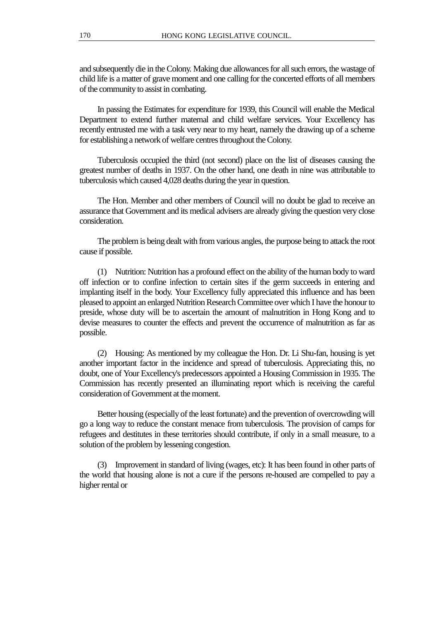and subsequently die in the Colony. Making due allowances for all such errors, the wastage of child life is a matter of grave moment and one calling for the concerted efforts of all members of the community to assist in combating.

In passing the Estimates for expenditure for 1939, this Council will enable the Medical Department to extend further maternal and child welfare services. Your Excellency has recently entrusted me with a task very near to my heart, namely the drawing up of a scheme for establishing a network of welfare centres throughout the Colony.

Tuberculosis occupied the third (not second) place on the list of diseases causing the greatest number of deaths in 1937. On the other hand, one death in nine was attributable to tuberculosis which caused 4,028 deaths during the year in question.

The Hon. Member and other members of Council will no doubt be glad to receive an assurance that Government and its medical advisers are already giving the question very close consideration.

The problem is being dealt with from various angles, the purpose being to attack the root cause if possible.

(1) Nutrition: Nutrition has a profound effect on the ability of the human body to ward off infection or to confine infection to certain sites if the germ succeeds in entering and implanting itself in the body. Your Excellency fully appreciated this influence and has been pleased to appoint an enlarged Nutrition Research Committee over which I have the honour to preside, whose duty will be to ascertain the amount of malnutrition in Hong Kong and to devise measures to counter the effects and prevent the occurrence of malnutrition as far as possible.

(2) Housing: As mentioned by my colleague the Hon. Dr. Li Shu-fan, housing is yet another important factor in the incidence and spread of tuberculosis. Appreciating this, no doubt, one of Your Excellency's predecessors appointed a Housing Commission in 1935. The Commission has recently presented an illuminating report which is receiving the careful consideration of Government at the moment.

Better housing (especially of the least fortunate) and the prevention of overcrowding will go a long way to reduce the constant menace from tuberculosis. The provision of camps for refugees and destitutes in these territories should contribute, if only in a small measure, to a solution of the problem by lessening congestion.

(3) Improvement in standard of living (wages, etc): It has been found in other parts of the world that housing alone is not a cure if the persons re-housed are compelled to pay a higher rental or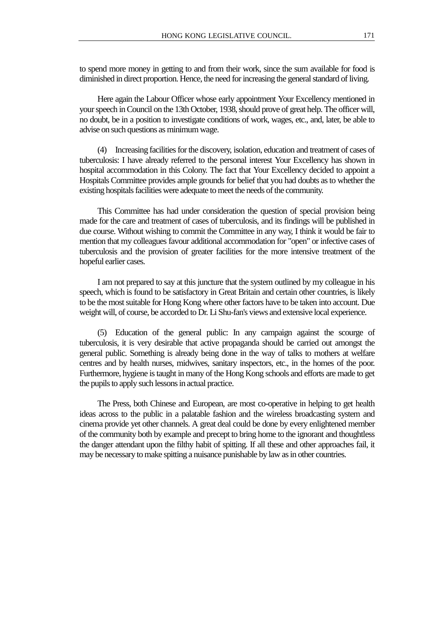to spend more money in getting to and from their work, since the sum available for food is diminished in direct proportion. Hence, the need for increasing the general standard of living.

Here again the Labour Officer whose early appointment Your Excellency mentioned in your speech in Council on the 13th October, 1938, should prove of great help. The officer will, no doubt, be in a position to investigate conditions of work, wages, etc., and, later, be able to advise on such questions as minimum wage.

(4) Increasing facilities for the discovery, isolation, education and treatment of cases of tuberculosis: I have already referred to the personal interest Your Excellency has shown in hospital accommodation in this Colony. The fact that Your Excellency decided to appoint a Hospitals Committee provides ample grounds for belief that you had doubts as to whether the existing hospitals facilities were adequate to meet the needs of the community.

This Committee has had under consideration the question of special provision being made for the care and treatment of cases of tuberculosis, and its findings will be published in due course. Without wishing to commit the Committee in any way, I think it would be fair to mention that my colleagues favour additional accommodation for "open" or infective cases of tuberculosis and the provision of greater facilities for the more intensive treatment of the hopeful earlier cases.

I am not prepared to say at this juncture that the system outlined by my colleague in his speech, which is found to be satisfactory in Great Britain and certain other countries, is likely to be the most suitable for Hong Kong where other factors have to be taken into account. Due weight will, of course, be accorded to Dr. Li Shu-fan's views and extensive local experience.

(5) Education of the general public: In any campaign against the scourge of tuberculosis, it is very desirable that active propaganda should be carried out amongst the general public. Something is already being done in the way of talks to mothers at welfare centres and by health nurses, midwives, sanitary inspectors, etc., in the homes of the poor. Furthermore, hygiene is taught in many of the Hong Kong schools and efforts are made to get the pupils to apply such lessons in actual practice.

The Press, both Chinese and European, are most co-operative in helping to get health ideas across to the public in a palatable fashion and the wireless broadcasting system and cinema provide yet other channels. A great deal could be done by every enlightened member of the community both by example and precept to bring home to the ignorant and thoughtless the danger attendant upon the filthy habit of spitting. If all these and other approaches fail, it may be necessary to make spitting a nuisance punishable by law as in other countries.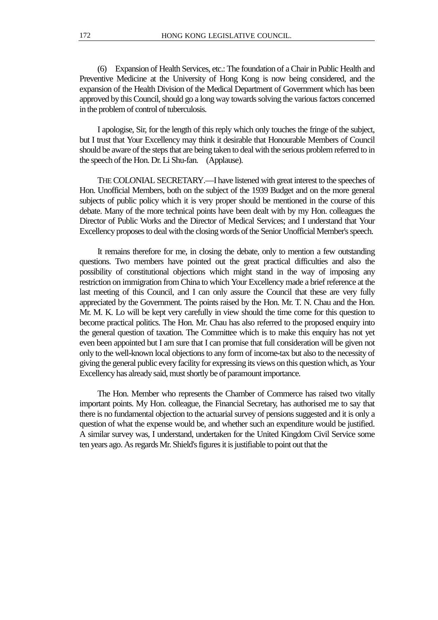(6) Expansion of Health Services, etc.: The foundation of a Chair in Public Health and Preventive Medicine at the University of Hong Kong is now being considered, and the expansion of the Health Division of the Medical Department of Government which has been approved by this Council, should go a long way towards solving the various factors concerned in the problem of control of tuberculosis.

I apologise, Sir, for the length of this reply which only touches the fringe of the subject, but I trust that Your Excellency may think it desirable that Honourable Members of Council should be aware of the steps that are being taken to deal with the serious problem referred to in the speech of the Hon. Dr. Li Shu-fan. (Applause).

THE COLONIAL SECRETARY.—I have listened with great interest to the speeches of Hon. Unofficial Members, both on the subject of the 1939 Budget and on the more general subjects of public policy which it is very proper should be mentioned in the course of this debate. Many of the more technical points have been dealt with by my Hon. colleagues the Director of Public Works and the Director of Medical Services; and I understand that Your Excellency proposes to deal with the closing words of the Senior Unofficial Member's speech.

It remains therefore for me, in closing the debate, only to mention a few outstanding questions. Two members have pointed out the great practical difficulties and also the possibility of constitutional objections which might stand in the way of imposing any restriction on immigration from China to which Your Excellency made a brief reference at the last meeting of this Council, and I can only assure the Council that these are very fully appreciated by the Government. The points raised by the Hon. Mr. T. N. Chau and the Hon. Mr. M. K. Lo will be kept very carefully in view should the time come for this question to become practical politics. The Hon. Mr. Chau has also referred to the proposed enquiry into the general question of taxation. The Committee which is to make this enquiry has not yet even been appointed but I am sure that I can promise that full consideration will be given not only to the well-known local objections to any form of income-tax but also to the necessity of giving the general public every facility for expressing its views on this question which, as Your Excellency has already said, must shortly be of paramount importance.

The Hon. Member who represents the Chamber of Commerce has raised two vitally important points. My Hon. colleague, the Financial Secretary, has authorised me to say that there is no fundamental objection to the actuarial survey of pensions suggested and it is only a question of what the expense would be, and whether such an expenditure would be justified. A similar survey was, I understand, undertaken for the United Kingdom Civil Service some ten years ago. As regards Mr. Shield's figures it is justifiable to point out that the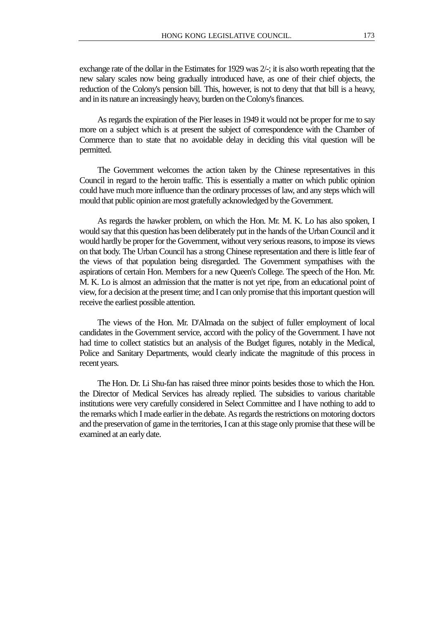exchange rate of the dollar in the Estimates for 1929 was  $2/$ ; it is also worth repeating that the new salary scales now being gradually introduced have, as one of their chief objects, the reduction of the Colony's pension bill. This, however, is not to deny that that bill is a heavy, and in its nature an increasingly heavy, burden on the Colony's finances.

As regards the expiration of the Pier leases in 1949 it would not be proper for me to say more on a subject which is at present the subject of correspondence with the Chamber of Commerce than to state that no avoidable delay in deciding this vital question will be permitted.

The Government welcomes the action taken by the Chinese representatives in this Council in regard to the heroin traffic. This is essentially a matter on which public opinion could have much more influence than the ordinary processes of law, and any steps which will mould that public opinion are most gratefully acknowledged by the Government.

As regards the hawker problem, on which the Hon. Mr. M. K. Lo has also spoken, I would say that this question has been deliberately put in the hands of the Urban Council and it would hardly be proper for the Government, without very serious reasons, to impose its views on that body. The Urban Council has a strong Chinese representation and there is little fear of the views of that population being disregarded. The Government sympathises with the aspirations of certain Hon. Members for a new Queen's College. The speech of the Hon. Mr. M. K. Lo is almost an admission that the matter is not yet ripe, from an educational point of view, for a decision at the present time; and I can only promise that this important question will receive the earliest possible attention.

The views of the Hon. Mr. D'Almada on the subject of fuller employment of local candidates in the Government service, accord with the policy of the Government. I have not had time to collect statistics but an analysis of the Budget figures, notably in the Medical, Police and Sanitary Departments, would clearly indicate the magnitude of this process in recent years.

The Hon. Dr. Li Shu-fan has raised three minor points besides those to which the Hon. the Director of Medical Services has already replied. The subsidies to various charitable institutions were very carefully considered in Select Committee and I have nothing to add to the remarks which I made earlier in the debate. As regards the restrictions on motoring doctors and the preservation of game in the territories, I can at this stage only promise that these will be examined at an early date.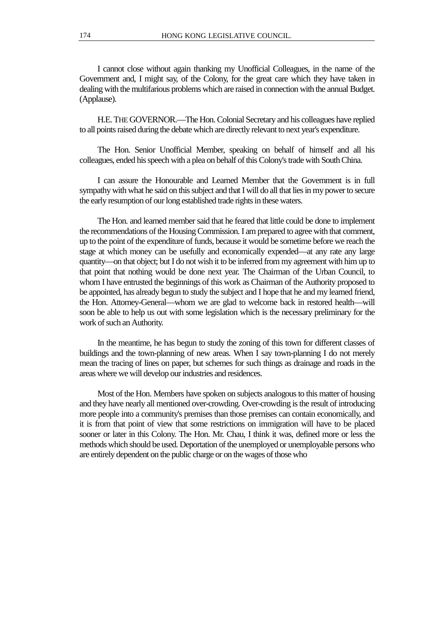I cannot close without again thanking my Unofficial Colleagues, in the name of the Government and, I might say, of the Colony, for the great care which they have taken in dealing with the multifarious problems which are raised in connection with the annual Budget. (Applause).

H.E. THE GOVERNOR.—The Hon. Colonial Secretary and his colleagues have replied to all points raised during the debate which are directly relevant to next year's expenditure.

The Hon. Senior Unofficial Member, speaking on behalf of himself and all his colleagues, ended his speech with a plea on behalf of this Colony's trade with South China.

I can assure the Honourable and Learned Member that the Government is in full sympathy with what he said on this subject and that I will do all that lies in my power to secure the early resumption of our long established trade rights in these waters.

The Hon. and learned member said that he feared that little could be done to implement the recommendations of the Housing Commission. I am prepared to agree with that comment, up to the point of the expenditure of funds, because it would be sometime before we reach the stage at which money can be usefully and economically expended—at any rate any large quantity—on that object; but I do not wish it to be inferred from my agreement with him up to that point that nothing would be done next year. The Chairman of the Urban Council, to whom I have entrusted the beginnings of this work as Chairman of the Authority proposed to be appointed, has already begun to study the subject and I hope that he and my learned friend, the Hon. Attorney-General—whom we are glad to welcome back in restored health—will soon be able to help us out with some legislation which is the necessary preliminary for the work of such an Authority.

In the meantime, he has begun to study the zoning of this town for different classes of buildings and the town-planning of new areas. When I say town-planning I do not merely mean the tracing of lines on paper, but schemes for such things as drainage and roads in the areas where we will develop our industries and residences.

Most of the Hon. Members have spoken on subjects analogous to this matter of housing and they have nearly all mentioned over-crowding. Over-crowding is the result of introducing more people into a community's premises than those premises can contain economically, and it is from that point of view that some restrictions on immigration will have to be placed sooner or later in this Colony. The Hon. Mr. Chau, I think it was, defined more or less the methods which should be used. Deportation of the unemployed or unemployable persons who are entirely dependent on the public charge or on the wages of those who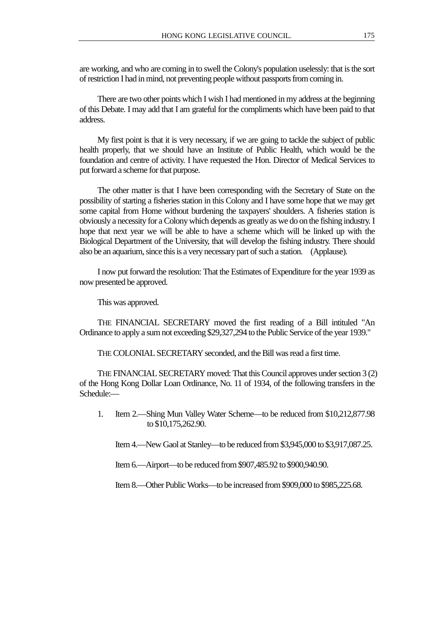are working, and who are coming in to swell the Colony's population uselessly: that is the sort of restriction I had in mind, not preventing people without passports from coming in.

There are two other points which I wish I had mentioned in my address at the beginning of this Debate. I may add that I am grateful for the compliments which have been paid to that address.

My first point is that it is very necessary, if we are going to tackle the subject of public health properly, that we should have an Institute of Public Health, which would be the foundation and centre of activity. I have requested the Hon. Director of Medical Services to put forward a scheme for that purpose.

The other matter is that I have been corresponding with the Secretary of State on the possibility of starting a fisheries station in this Colony and I have some hope that we may get some capital from Home without burdening the taxpayers' shoulders. A fisheries station is obviously a necessity for a Colony which depends as greatly as we do on the fishing industry. I hope that next year we will be able to have a scheme which will be linked up with the Biological Department of the University, that will develop the fishing industry. There should also be an aquarium, since this is a very necessary part of such a station. (Applause).

I now put forward the resolution: That the Estimates of Expenditure for the year 1939 as now presented be approved.

This was approved.

THE FINANCIAL SECRETARY moved the first reading of a Bill intituled "An Ordinance to apply a sum not exceeding \$29,327,294 to the Public Service of the year 1939."

THE COLONIAL SECRETARY seconded, and the Bill was read a first time.

THE FINANCIAL SECRETARY moved: That this Council approves under section 3 (2) of the Hong Kong Dollar Loan Ordinance, No. 11 of 1934, of the following transfers in the Schedule:—

1. Item 2.—Shing Mun Valley Water Scheme—to be reduced from \$10,212,877.98 to \$10,175,262.90.

Item 4.—New Gaol at Stanley—to be reduced from \$3,945,000 to \$3,917,087.25.

Item 6.—Airport—to be reduced from \$907,485.92 to \$900,940.90.

Item 8.—Other Public Works—to be increased from \$909,000 to \$985,225.68.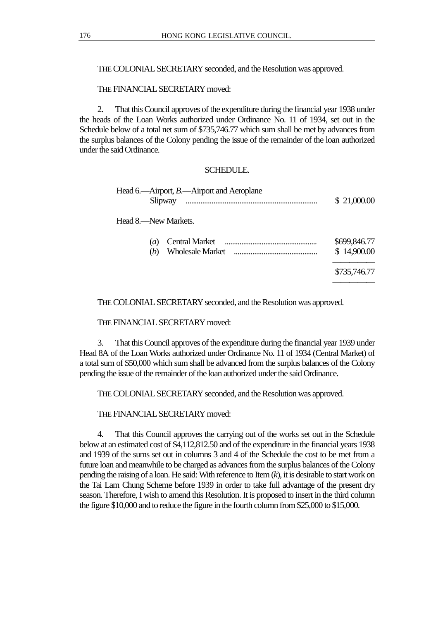THE COLONIAL SECRETARY seconded, and the Resolution was approved.

THE FINANCIAL SECRETARY moved:

2. That this Council approves of the expenditure during the financial year 1938 under the heads of the Loan Works authorized under Ordinance No. 11 of 1934, set out in the Schedule below of a total net sum of \$735,746.77 which sum shall be met by advances from the surplus balances of the Colony pending the issue of the remainder of the loan authorized under the said Ordinance.

# SCHEDULE.

|         | Head 6.—Airport, $B$ .—Airport and Aeroplane |             |
|---------|----------------------------------------------|-------------|
| Slipway |                                              | \$21,000.00 |

Head 8.—New Markets.

| (b) | ( <i>a</i> ) Central Market | \$699,846.77<br>\$14,900.00 |
|-----|-----------------------------|-----------------------------|
|     |                             | \$735,746.77                |

THE COLONIAL SECRETARY seconded, and the Resolution was approved.

THE FINANCIAL SECRETARY moved:

3. That this Council approves of the expenditure during the financial year 1939 under Head 8A of the Loan Works authorized under Ordinance No. 11 of 1934 (Central Market) of a total sum of \$50,000 which sum shall be advanced from the surplus balances of the Colony pending the issue of the remainder of the loan authorized under the said Ordinance.

THE COLONIAL SECRETARY seconded, and the Resolution was approved.

THE FINANCIAL SECRETARY moved:

4. That this Council approves the carrying out of the works set out in the Schedule below at an estimated cost of \$4,112,812.50 and of the expenditure in the financial years 1938 and 1939 of the sums set out in columns 3 and 4 of the Schedule the cost to be met from a future loan and meanwhile to be charged as advances from the surplus balances of the Colony pending the raising of a loan. He said: With reference to Item (*k*), it is desirable to start work on the Tai Lam Chung Scheme before 1939 in order to take full advantage of the present dry season. Therefore, I wish to amend this Resolution. It is proposed to insert in the third column the figure \$10,000 and to reduce the figure in the fourth column from \$25,000 to \$15,000.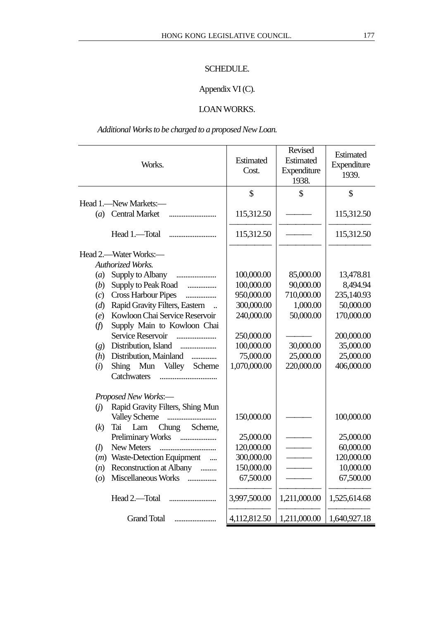# SCHEDULE.

# Appendix VI (C).

# LOAN WORKS.

*Additional Works to be charged to a proposed New Loan.*

|                    | Works.                                         | Estimated<br>Cost. | Revised<br>Estimated<br>Expenditure<br>1938. | Estimated<br>Expenditure<br>1939. |
|--------------------|------------------------------------------------|--------------------|----------------------------------------------|-----------------------------------|
|                    |                                                | \$                 | \$                                           | \$                                |
| (a)                | Head 1.—New Markets:—<br><b>Central Market</b> | 115,312.50         |                                              | 115,312.50                        |
|                    | Head 1.-Total                                  | 115,312.50         |                                              | 115,312.50                        |
|                    | Head 2.—Water Works:—                          |                    |                                              |                                   |
|                    | Authorized Works.                              |                    |                                              |                                   |
| (a)                | Supply to Albany                               | 100,000.00         | 85,000.00                                    | 13,478.81                         |
| (b)                | Supply to Peak Road                            | 100,000.00         | 90,000.00                                    | 8,494.94                          |
| (c)                | <b>Cross Harbour Pipes</b><br>.                | 950,000.00         | 710,000.00                                   | 235,140.93                        |
| (d)                | Rapid Gravity Filters, Eastern                 | 300,000.00         | 1,000.00                                     | 50,000.00                         |
| (e)                | Kowloon Chai Service Reservoir                 | 240,000.00         | 50,000.00                                    | 170,000.00                        |
| (f)                | Supply Main to Kowloon Chai                    |                    |                                              |                                   |
|                    | Service Reservoir                              | 250,000.00         |                                              | 200,000.00                        |
| (g)                | Distribution, Island                           | 100,000.00         | 30,000.00                                    | 35,000.00                         |
| (h)                | Distribution, Mainland<br>.                    | 75,000.00          | 25,000.00                                    | 25,000.00                         |
| (i)                | Mun<br>Valley Scheme<br>Shing                  | 1,070,000.00       | 220,000.00                                   | 406,000.00                        |
|                    | Catchwaters                                    |                    |                                              |                                   |
|                    | Proposed New Works:-                           |                    |                                              |                                   |
| (i)                | Rapid Gravity Filters, Shing Mun               |                    |                                              |                                   |
|                    | <b>Valley Scheme</b><br>                       | 150,000.00         |                                              | 100,000.00                        |
| (k)                | Chung Scheme,<br>Tai<br>Lam                    |                    |                                              |                                   |
|                    | Preliminary Works                              | 25,000.00          |                                              | 25,000.00                         |
| (l)                | New Meters                                     | 120,000.00         |                                              | 60,000.00                         |
| (m)                | Waste-Detection Equipment                      | 300,000.00         |                                              | 120,000.00                        |
| (n)                | Reconstruction at Albany                       | 150,000.00         |                                              | 10,000.00                         |
| $\left( o \right)$ | Miscellaneous Works                            | 67,500.00          |                                              | 67,500.00                         |
|                    |                                                | 3,997,500.00       | 1,211,000.00                                 | 1,525,614.68                      |
|                    | <b>Grand Total</b>                             | 4,112,812.50       | 1,211,000.00                                 | 1,640,927.18                      |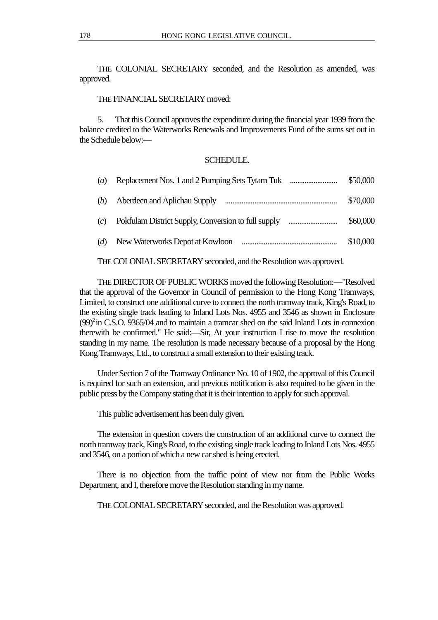THE COLONIAL SECRETARY seconded, and the Resolution as amended, was approved.

# THE FINANCIAL SECRETARY moved:

5. That this Council approves the expenditure during the financial year 1939 from the balance credited to the Waterworks Renewals and Improvements Fund of the sums set out in the Schedule below:—

# **SCHEDULE**

| $\left(a\right)$ | \$50,000 |
|------------------|----------|
| (b)              | \$70,000 |
| (c)              | \$60,000 |
| (d)              | \$10,000 |

THE COLONIAL SECRETARY seconded, and the Resolution was approved.

THE DIRECTOR OF PUBLIC WORKS moved the following Resolution:—"Resolved that the approval of the Governor in Council of permission to the Hong Kong Tramways, Limited, to construct one additional curve to connect the north tramway track, King's Road, to the existing single track leading to Inland Lots Nos. 4955 and 3546 as shown in Enclosure  $(99)^2$  in C.S.O. 9365/04 and to maintain a tramcar shed on the said Inland Lots in connexion therewith be confirmed." He said:—Sir, At your instruction I rise to move the resolution standing in my name. The resolution is made necessary because of a proposal by the Hong Kong Tramways, Ltd., to construct a small extension to their existing track.

Under Section 7 of the Tramway Ordinance No. 10 of 1902, the approval of this Council is required for such an extension, and previous notification is also required to be given in the public press by the Company stating that it is their intention to apply for such approval.

This public advertisement has been duly given.

The extension in question covers the construction of an additional curve to connect the north tramway track, King's Road, to the existing single track leading to Inland Lots Nos. 4955 and 3546, on a portion of which a new car shed is being erected.

There is no objection from the traffic point of view nor from the Public Works Department, and I, therefore move the Resolution standing in my name.

THE COLONIAL SECRETARY seconded, and the Resolution was approved.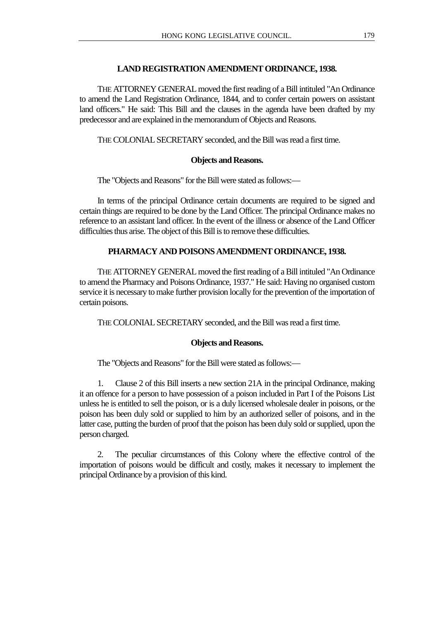# **LAND REGISTRATION AMENDMENT ORDINANCE, 1938.**

THE ATTORNEY GENERAL moved the first reading of a Bill intituled "An Ordinance to amend the Land Registration Ordinance, 1844, and to confer certain powers on assistant land officers." He said: This Bill and the clauses in the agenda have been drafted by my predecessor and are explained in the memorandum of Objects and Reasons.

THE COLONIAL SECRETARY seconded, and the Bill was read a first time.

# **Objects and Reasons.**

The "Objects and Reasons" for the Bill were stated as follows:—

In terms of the principal Ordinance certain documents are required to be signed and certain things are required to be done by the Land Officer. The principal Ordinance makes no reference to an assistant land officer. In the event of the illness or absence of the Land Officer difficulties thus arise. The object of this Bill is to remove these difficulties.

# **PHARMACY AND POISONS AMENDMENT ORDINANCE, 1938.**

THE ATTORNEY GENERAL moved the first reading of a Bill intituled "An Ordinance to amend the Pharmacy and Poisons Ordinance, 1937." He said: Having no organised custom service it is necessary to make further provision locally for the prevention of the importation of certain poisons.

THE COLONIAL SECRETARY seconded, and the Bill was read a first time.

# **Objects and Reasons.**

The "Objects and Reasons" for the Bill were stated as follows:—

1. Clause 2 of this Bill inserts a new section 21A in the principal Ordinance, making it an offence for a person to have possession of a poison included in Part I of the Poisons List unless he is entitled to sell the poison, or is a duly licensed wholesale dealer in poisons, or the poison has been duly sold or supplied to him by an authorized seller of poisons, and in the latter case, putting the burden of proof that the poison has been duly sold or supplied, upon the person charged.

2. The peculiar circumstances of this Colony where the effective control of the importation of poisons would be difficult and costly, makes it necessary to implement the principal Ordinance by a provision of this kind.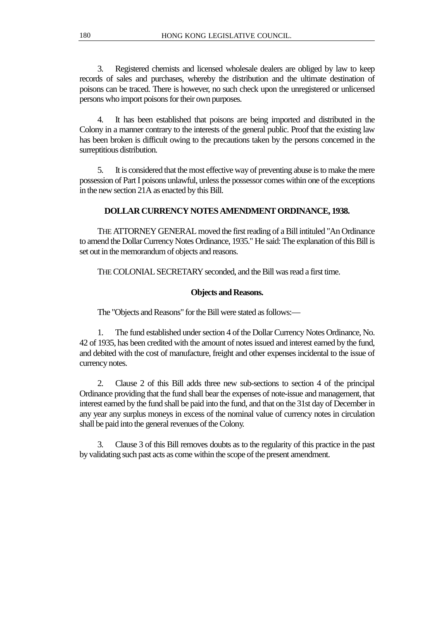3. Registered chemists and licensed wholesale dealers are obliged by law to keep records of sales and purchases, whereby the distribution and the ultimate destination of poisons can be traced. There is however, no such check upon the unregistered or unlicensed persons who import poisons for their own purposes.

4. It has been established that poisons are being imported and distributed in the Colony in a manner contrary to the interests of the general public. Proof that the existing law has been broken is difficult owing to the precautions taken by the persons concerned in the surreptitious distribution.

5. It is considered that the most effective way of preventing abuse is to make the mere possession of Part I poisons unlawful, unless the possessor comes within one of the exceptions in the new section 21A as enacted by this Bill.

# **DOLLAR CURRENCY NOTES AMENDMENT ORDINANCE, 1938.**

THE ATTORNEY GENERAL moved the first reading of a Bill intituled "An Ordinance to amend the Dollar Currency Notes Ordinance, 1935." He said: The explanation of this Bill is set out in the memorandum of objects and reasons.

THE COLONIAL SECRETARY seconded, and the Bill was read a first time.

# **Objects and Reasons.**

The "Objects and Reasons" for the Bill were stated as follows:—

1. The fund established under section 4 of the Dollar Currency Notes Ordinance, No. 42 of 1935, has been credited with the amount of notes issued and interest earned by the fund, and debited with the cost of manufacture, freight and other expenses incidental to the issue of currency notes.

2. Clause 2 of this Bill adds three new sub-sections to section 4 of the principal Ordinance providing that the fund shall bear the expenses of note-issue and management, that interest earned by the fund shall be paid into the fund, and that on the 31st day of December in any year any surplus moneys in excess of the nominal value of currency notes in circulation shall be paid into the general revenues of the Colony.

3. Clause 3 of this Bill removes doubts as to the regularity of this practice in the past by validating such past acts as come within the scope of the present amendment.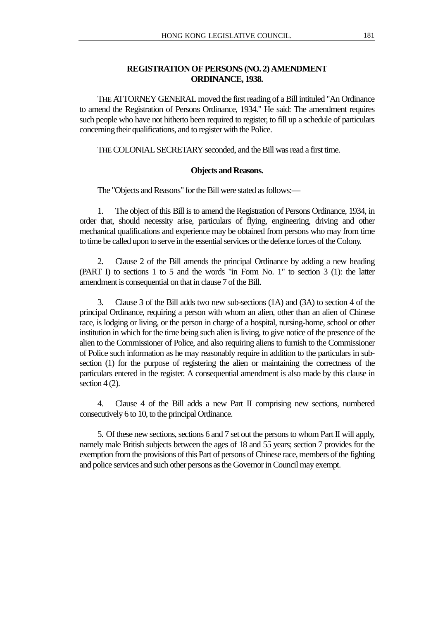# **REGISTRATION OF PERSONS (NO. 2) AMENDMENT ORDINANCE, 1938.**

THE ATTORNEY GENERAL moved the first reading of a Bill intituled "An Ordinance to amend the Registration of Persons Ordinance, 1934." He said: The amendment requires such people who have not hitherto been required to register, to fill up a schedule of particulars concerning their qualifications, and to register with the Police.

THE COLONIAL SECRETARY seconded, and the Bill was read a first time.

### **Objects and Reasons.**

The "Objects and Reasons" for the Bill were stated as follows:—

1. The object of this Bill is to amend the Registration of Persons Ordinance, 1934, in order that, should necessity arise, particulars of flying, engineering, driving and other mechanical qualifications and experience may be obtained from persons who may from time to time be called upon to serve in the essential services or the defence forces of the Colony.

2. Clause 2 of the Bill amends the principal Ordinance by adding a new heading (PART I) to sections 1 to 5 and the words "in Form No. 1" to section 3 (1): the latter amendment is consequential on that in clause 7 of the Bill.

3. Clause 3 of the Bill adds two new sub-sections (1A) and (3A) to section 4 of the principal Ordinance, requiring a person with whom an alien, other than an alien of Chinese race, is lodging or living, or the person in charge of a hospital, nursing-home, school or other institution in which for the time being such alien is living, to give notice of the presence of the alien to the Commissioner of Police, and also requiring aliens to furnish to the Commissioner of Police such information as he may reasonably require in addition to the particulars in subsection (1) for the purpose of registering the alien or maintaining the correctness of the particulars entered in the register. A consequential amendment is also made by this clause in section 4 (2).

4. Clause 4 of the Bill adds a new Part II comprising new sections, numbered consecutively 6 to 10, to the principal Ordinance.

5. Of these new sections, sections 6 and 7 set out the persons to whom Part II will apply, namely male British subjects between the ages of 18 and 55 years; section 7 provides for the exemption from the provisions of this Part of persons of Chinese race, members of the fighting and police services and such other persons as the Governor in Council may exempt.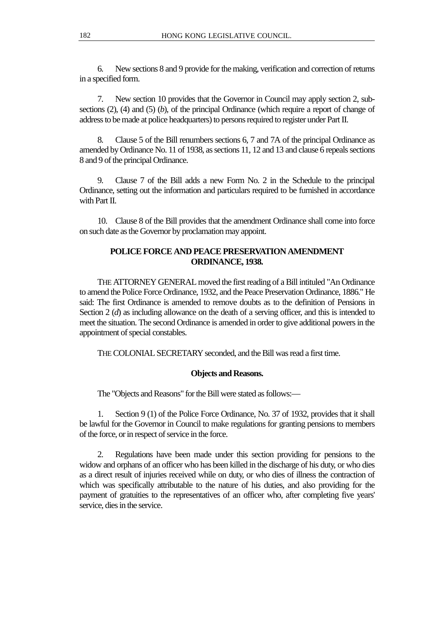6. New sections 8 and 9 provide for the making, verification and correction of returns in a specified form.

7. New section 10 provides that the Governor in Council may apply section 2, subsections (2), (4) and (5) (*b*), of the principal Ordinance (which require a report of change of address to be made at police headquarters) to persons required to register under Part II.

8. Clause 5 of the Bill renumbers sections 6, 7 and 7A of the principal Ordinance as amended by Ordinance No. 11 of 1938, as sections 11, 12 and 13 and clause 6 repeals sections 8 and 9 of the principal Ordinance.

9. Clause 7 of the Bill adds a new Form No. 2 in the Schedule to the principal Ordinance, setting out the information and particulars required to be furnished in accordance with Part II.

10. Clause 8 of the Bill provides that the amendment Ordinance shall come into force on such date as the Governor by proclamation may appoint.

# **POLICE FORCE AND PEACE PRESERVATION AMENDMENT ORDINANCE, 1938.**

THE ATTORNEY GENERAL moved the first reading of a Bill intituled "An Ordinance to amend the Police Force Ordinance, 1932, and the Peace Preservation Ordinance, 1886." He said: The first Ordinance is amended to remove doubts as to the definition of Pensions in Section 2 (*d*) as including allowance on the death of a serving officer, and this is intended to meet the situation. The second Ordinance is amended in order to give additional powers in the appointment of special constables.

THE COLONIAL SECRETARY seconded, and the Bill was read a first time.

# **Objects and Reasons.**

The "Objects and Reasons" for the Bill were stated as follows:—

1. Section 9 (1) of the Police Force Ordinance, No. 37 of 1932, provides that it shall be lawful for the Governor in Council to make regulations for granting pensions to members of the force, or in respect of service in the force.

2. Regulations have been made under this section providing for pensions to the widow and orphans of an officer who has been killed in the discharge of his duty, or who dies as a direct result of injuries received while on duty, or who dies of illness the contraction of which was specifically attributable to the nature of his duties, and also providing for the payment of gratuities to the representatives of an officer who, after completing five years' service, dies in the service.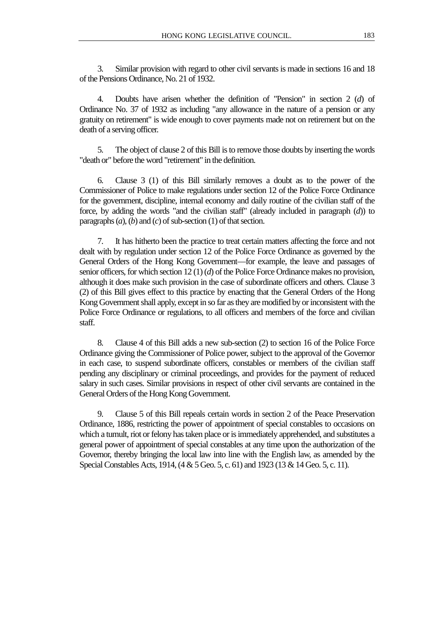3. Similar provision with regard to other civil servants is made in sections 16 and 18 of the Pensions Ordinance, No. 21 of 1932.

4. Doubts have arisen whether the definition of "Pension" in section 2 (*d*) of Ordinance No. 37 of 1932 as including "any allowance in the nature of a pension or any gratuity on retirement" is wide enough to cover payments made not on retirement but on the death of a serving officer.

5. The object of clause 2 of this Bill is to remove those doubts by inserting the words "death or" before the word "retirement" in the definition.

6. Clause 3 (1) of this Bill similarly removes a doubt as to the power of the Commissioner of Police to make regulations under section 12 of the Police Force Ordinance for the government, discipline, internal economy and daily routine of the civilian staff of the force, by adding the words "and the civilian staff" (already included in paragraph (*d*)) to paragraphs (*a*), (*b*) and (*c*) of sub-section (1) of that section.

7. It has hitherto been the practice to treat certain matters affecting the force and not dealt with by regulation under section 12 of the Police Force Ordinance as governed by the General Orders of the Hong Kong Government—for example, the leave and passages of senior officers, for which section 12 (1) (*d*) of the Police Force Ordinance makes no provision, although it does make such provision in the case of subordinate officers and others. Clause 3 (2) of this Bill gives effect to this practice by enacting that the General Orders of the Hong Kong Government shall apply, except in so far as they are modified by or inconsistent with the Police Force Ordinance or regulations, to all officers and members of the force and civilian staff.

8. Clause 4 of this Bill adds a new sub-section (2) to section 16 of the Police Force Ordinance giving the Commissioner of Police power, subject to the approval of the Governor in each case, to suspend subordinate officers, constables or members of the civilian staff pending any disciplinary or criminal proceedings, and provides for the payment of reduced salary in such cases. Similar provisions in respect of other civil servants are contained in the General Orders of the Hong Kong Government.

9. Clause 5 of this Bill repeals certain words in section 2 of the Peace Preservation Ordinance, 1886, restricting the power of appointment of special constables to occasions on which a tumult, riot or felony has taken place or is immediately apprehended, and substitutes a general power of appointment of special constables at any time upon the authorization of the Governor, thereby bringing the local law into line with the English law, as amended by the Special Constables Acts, 1914, (4 & 5 Geo. 5, c. 61) and 1923 (13 & 14 Geo. 5, c. 11).